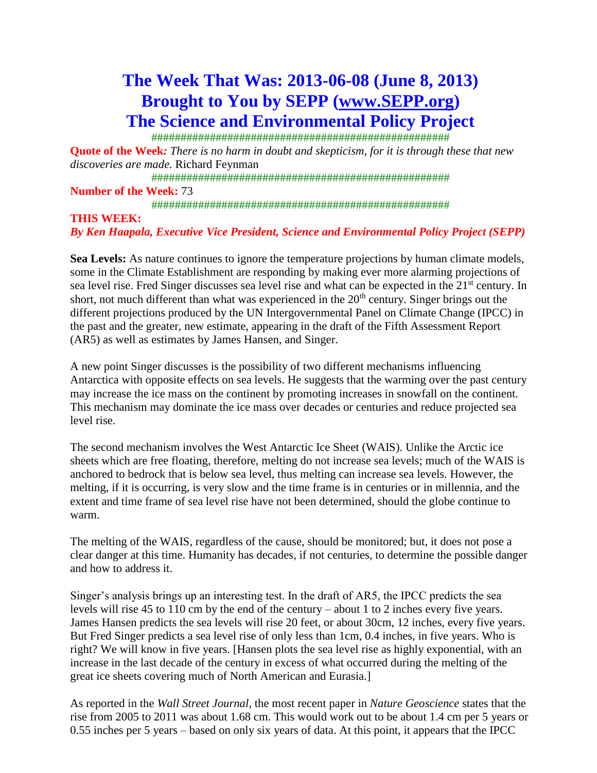# **The Week That Was: 2013-06-08 (June 8, 2013) Brought to You by SEPP [\(www.SEPP.org\)](http://www.sepp.org/) The Science and Environmental Policy Project**

###################################################

**Quote of the Week***: There is no harm in doubt and skepticism, for it is through these that new discoveries are made.* Richard Feynman

###################################################

**Number of the Week:** 73

###################################################

#### **THIS WEEK:**

*By Ken Haapala, Executive Vice President, Science and Environmental Policy Project (SEPP)*

**Sea Levels:** As nature continues to ignore the temperature projections by human climate models, some in the Climate Establishment are responding by making ever more alarming projections of sea level rise. Fred Singer discusses sea level rise and what can be expected in the 21<sup>st</sup> century. In short, not much different than what was experienced in the  $20<sup>th</sup>$  century. Singer brings out the different projections produced by the UN Intergovernmental Panel on Climate Change (IPCC) in the past and the greater, new estimate, appearing in the draft of the Fifth Assessment Report (AR5) as well as estimates by James Hansen, and Singer.

A new point Singer discusses is the possibility of two different mechanisms influencing Antarctica with opposite effects on sea levels. He suggests that the warming over the past century may increase the ice mass on the continent by promoting increases in snowfall on the continent. This mechanism may dominate the ice mass over decades or centuries and reduce projected sea level rise.

The second mechanism involves the West Antarctic Ice Sheet (WAIS). Unlike the Arctic ice sheets which are free floating, therefore, melting do not increase sea levels; much of the WAIS is anchored to bedrock that is below sea level, thus melting can increase sea levels. However, the melting, if it is occurring, is very slow and the time frame is in centuries or in millennia, and the extent and time frame of sea level rise have not been determined, should the globe continue to warm.

The melting of the WAIS, regardless of the cause, should be monitored; but, it does not pose a clear danger at this time. Humanity has decades, if not centuries, to determine the possible danger and how to address it.

Singer's analysis brings up an interesting test. In the draft of AR5, the IPCC predicts the sea levels will rise 45 to 110 cm by the end of the century – about 1 to 2 inches every five years. James Hansen predicts the sea levels will rise 20 feet, or about 30cm, 12 inches, every five years. But Fred Singer predicts a sea level rise of only less than 1cm, 0.4 inches, in five years. Who is right? We will know in five years. [Hansen plots the sea level rise as highly exponential, with an increase in the last decade of the century in excess of what occurred during the melting of the great ice sheets covering much of North American and Eurasia.]

As reported in the *Wall Street Journal*, the most recent paper in *Nature Geoscience* states that the rise from 2005 to 2011 was about 1.68 cm. This would work out to be about 1.4 cm per 5 years or 0.55 inches per 5 years – based on only six years of data. At this point, it appears that the IPCC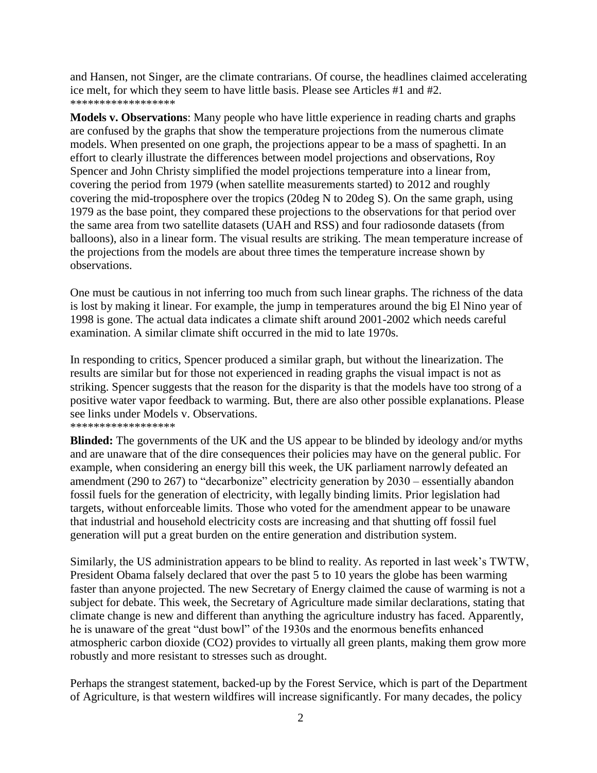and Hansen, not Singer, are the climate contrarians. Of course, the headlines claimed accelerating ice melt, for which they seem to have little basis. Please see Articles #1 and #2. \*\*\*\*\*\*\*\*\*\*\*\*\*\*\*\*\*\*

**Models v. Observations**: Many people who have little experience in reading charts and graphs are confused by the graphs that show the temperature projections from the numerous climate models. When presented on one graph, the projections appear to be a mass of spaghetti. In an effort to clearly illustrate the differences between model projections and observations, Roy Spencer and John Christy simplified the model projections temperature into a linear from, covering the period from 1979 (when satellite measurements started) to 2012 and roughly covering the mid-troposphere over the tropics (20deg N to 20deg S). On the same graph, using 1979 as the base point, they compared these projections to the observations for that period over the same area from two satellite datasets (UAH and RSS) and four radiosonde datasets (from balloons), also in a linear form. The visual results are striking. The mean temperature increase of the projections from the models are about three times the temperature increase shown by observations.

One must be cautious in not inferring too much from such linear graphs. The richness of the data is lost by making it linear. For example, the jump in temperatures around the big El Nino year of 1998 is gone. The actual data indicates a climate shift around 2001-2002 which needs careful examination. A similar climate shift occurred in the mid to late 1970s.

In responding to critics, Spencer produced a similar graph, but without the linearization. The results are similar but for those not experienced in reading graphs the visual impact is not as striking. Spencer suggests that the reason for the disparity is that the models have too strong of a positive water vapor feedback to warming. But, there are also other possible explanations. Please see links under Models v. Observations.

\*\*\*\*\*\*\*\*\*\*\*\*\*\*\*\*\*\* **Blinded:** The governments of the UK and the US appear to be blinded by ideology and/or myths and are unaware that of the dire consequences their policies may have on the general public. For example, when considering an energy bill this week, the UK parliament narrowly defeated an amendment (290 to 267) to "decarbonize" electricity generation by 2030 – essentially abandon fossil fuels for the generation of electricity, with legally binding limits. Prior legislation had targets, without enforceable limits. Those who voted for the amendment appear to be unaware that industrial and household electricity costs are increasing and that shutting off fossil fuel

generation will put a great burden on the entire generation and distribution system.

Similarly, the US administration appears to be blind to reality. As reported in last week's TWTW, President Obama falsely declared that over the past 5 to 10 years the globe has been warming faster than anyone projected. The new Secretary of Energy claimed the cause of warming is not a subject for debate. This week, the Secretary of Agriculture made similar declarations, stating that climate change is new and different than anything the agriculture industry has faced. Apparently, he is unaware of the great "dust bowl" of the 1930s and the enormous benefits enhanced atmospheric carbon dioxide (CO2) provides to virtually all green plants, making them grow more robustly and more resistant to stresses such as drought.

Perhaps the strangest statement, backed-up by the Forest Service, which is part of the Department of Agriculture, is that western wildfires will increase significantly. For many decades, the policy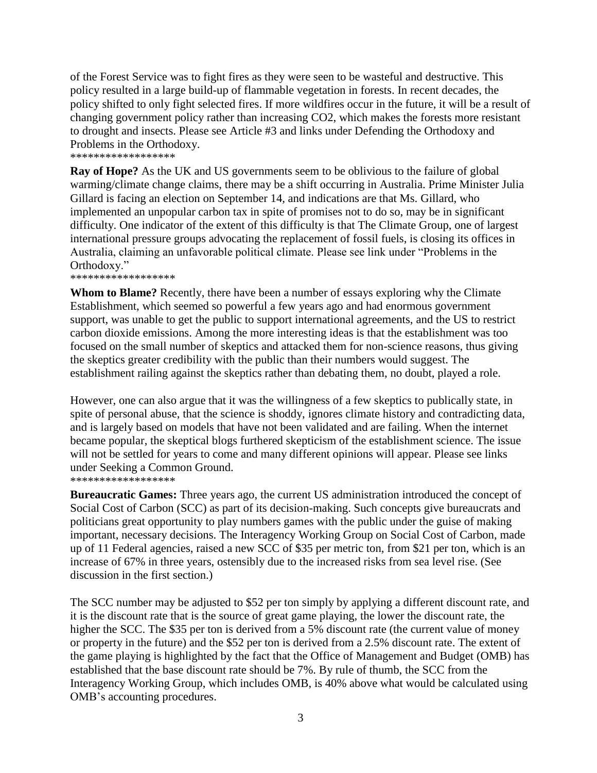of the Forest Service was to fight fires as they were seen to be wasteful and destructive. This policy resulted in a large build-up of flammable vegetation in forests. In recent decades, the policy shifted to only fight selected fires. If more wildfires occur in the future, it will be a result of changing government policy rather than increasing CO2, which makes the forests more resistant to drought and insects. Please see Article #3 and links under Defending the Orthodoxy and Problems in the Orthodoxy.

\*\*\*\*\*\*\*\*\*\*\*\*\*\*\*\*\*\*

**Ray of Hope?** As the UK and US governments seem to be oblivious to the failure of global warming/climate change claims, there may be a shift occurring in Australia. Prime Minister Julia Gillard is facing an election on September 14, and indications are that Ms. Gillard, who implemented an unpopular carbon tax in spite of promises not to do so, may be in significant difficulty. One indicator of the extent of this difficulty is that The Climate Group, one of largest international pressure groups advocating the replacement of fossil fuels, is closing its offices in Australia, claiming an unfavorable political climate. Please see link under "Problems in the Orthodoxy."

\*\*\*\*\*\*\*\*\*\*\*\*\*\*\*\*\*\*

**Whom to Blame?** Recently, there have been a number of essays exploring why the Climate Establishment, which seemed so powerful a few years ago and had enormous government support, was unable to get the public to support international agreements, and the US to restrict carbon dioxide emissions. Among the more interesting ideas is that the establishment was too focused on the small number of skeptics and attacked them for non-science reasons, thus giving the skeptics greater credibility with the public than their numbers would suggest. The establishment railing against the skeptics rather than debating them, no doubt, played a role.

However, one can also argue that it was the willingness of a few skeptics to publically state, in spite of personal abuse, that the science is shoddy, ignores climate history and contradicting data, and is largely based on models that have not been validated and are failing. When the internet became popular, the skeptical blogs furthered skepticism of the establishment science. The issue will not be settled for years to come and many different opinions will appear. Please see links under Seeking a Common Ground.

\*\*\*\*\*\*\*\*\*\*\*\*\*\*\*\*\*\*

**Bureaucratic Games:** Three years ago, the current US administration introduced the concept of Social Cost of Carbon (SCC) as part of its decision-making. Such concepts give bureaucrats and politicians great opportunity to play numbers games with the public under the guise of making important, necessary decisions. The Interagency Working Group on Social Cost of Carbon, made up of 11 Federal agencies, raised a new SCC of \$35 per metric ton, from \$21 per ton, which is an increase of 67% in three years, ostensibly due to the increased risks from sea level rise. (See discussion in the first section.)

The SCC number may be adjusted to \$52 per ton simply by applying a different discount rate, and it is the discount rate that is the source of great game playing, the lower the discount rate, the higher the SCC. The \$35 per ton is derived from a 5% discount rate (the current value of money or property in the future) and the \$52 per ton is derived from a 2.5% discount rate. The extent of the game playing is highlighted by the fact that the Office of Management and Budget (OMB) has established that the base discount rate should be 7%. By rule of thumb, the SCC from the Interagency Working Group, which includes OMB, is 40% above what would be calculated using OMB's accounting procedures.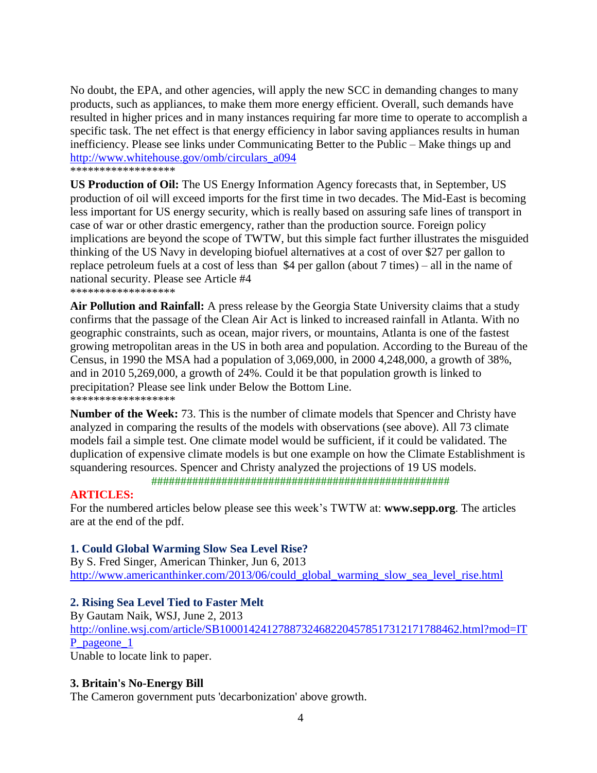No doubt, the EPA, and other agencies, will apply the new SCC in demanding changes to many products, such as appliances, to make them more energy efficient. Overall, such demands have resulted in higher prices and in many instances requiring far more time to operate to accomplish a specific task. The net effect is that energy efficiency in labor saving appliances results in human inefficiency. Please see links under Communicating Better to the Public – Make things up and [http://www.whitehouse.gov/omb/circulars\\_a094](http://www.whitehouse.gov/omb/circulars_a094)

\*\*\*\*\*\*\*\*\*\*\*\*\*\*\*\*\*\*

**US Production of Oil:** The US Energy Information Agency forecasts that, in September, US production of oil will exceed imports for the first time in two decades. The Mid-East is becoming less important for US energy security, which is really based on assuring safe lines of transport in case of war or other drastic emergency, rather than the production source. Foreign policy implications are beyond the scope of TWTW, but this simple fact further illustrates the misguided thinking of the US Navy in developing biofuel alternatives at a cost of over \$27 per gallon to replace petroleum fuels at a cost of less than \$4 per gallon (about 7 times) – all in the name of national security. Please see Article #4 \*\*\*\*\*\*\*\*\*\*\*\*\*\*\*\*\*\*

**Air Pollution and Rainfall:** A press release by the Georgia State University claims that a study confirms that the passage of the Clean Air Act is linked to increased rainfall in Atlanta. With no geographic constraints, such as ocean, major rivers, or mountains, Atlanta is one of the fastest growing metropolitan areas in the US in both area and population. According to the Bureau of the Census, in 1990 the MSA had a population of 3,069,000, in 2000 4,248,000, a growth of 38%, and in 2010 5,269,000, a growth of 24%. Could it be that population growth is linked to precipitation? Please see link under Below the Bottom Line. <u>-</u><br>\*\*\*\*\*\*\*\*\*\*\*\*\*\*\*\*\*\*

**Number of the Week:** 73. This is the number of climate models that Spencer and Christy have analyzed in comparing the results of the models with observations (see above). All 73 climate models fail a simple test. One climate model would be sufficient, if it could be validated. The duplication of expensive climate models is but one example on how the Climate Establishment is squandering resources. Spencer and Christy analyzed the projections of 19 US models.

###################################################

# **ARTICLES:**

For the numbered articles below please see this week's TWTW at: **www.sepp.org**. The articles are at the end of the pdf.

# **1. Could Global Warming Slow Sea Level Rise?**

By S. Fred Singer, American Thinker, Jun 6, 2013 [http://www.americanthinker.com/2013/06/could\\_global\\_warming\\_slow\\_sea\\_level\\_rise.html](http://www.americanthinker.com/2013/06/could_global_warming_slow_sea_level_rise.html)

# **2. Rising Sea Level Tied to Faster Melt**

By Gautam Naik, WSJ, June 2, 2013 [http://online.wsj.com/article/SB10001424127887324682204578517312171788462.html?mod=IT](http://online.wsj.com/article/SB10001424127887324682204578517312171788462.html?mod=ITP_pageone_1) [P\\_pageone\\_1](http://online.wsj.com/article/SB10001424127887324682204578517312171788462.html?mod=ITP_pageone_1) Unable to locate link to paper.

# **3. Britain's No-Energy Bill**

The Cameron government puts 'decarbonization' above growth.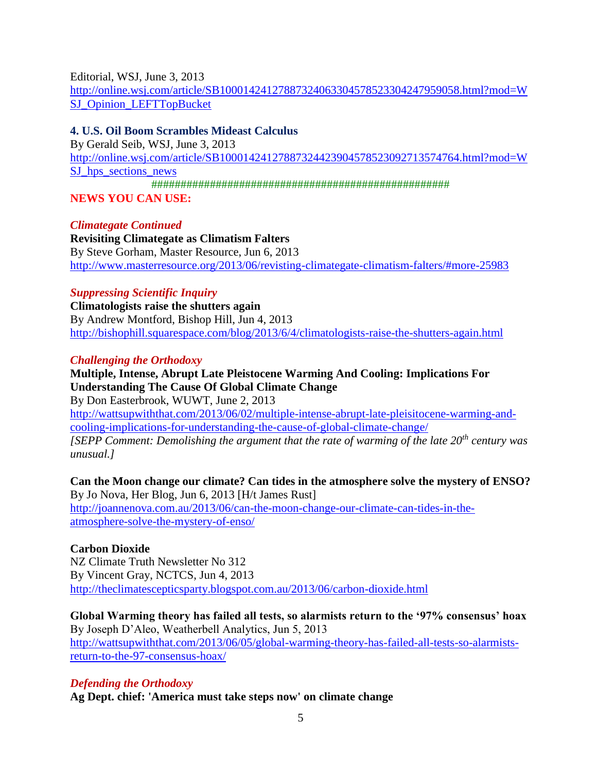Editorial, WSJ, June 3, 2013 [http://online.wsj.com/article/SB10001424127887324063304578523304247959058.html?mod=W](http://online.wsj.com/article/SB10001424127887324063304578523304247959058.html?mod=WSJ_Opinion_LEFTTopBucket) [SJ\\_Opinion\\_LEFTTopBucket](http://online.wsj.com/article/SB10001424127887324063304578523304247959058.html?mod=WSJ_Opinion_LEFTTopBucket)

# **4. U.S. Oil Boom Scrambles Mideast Calculus**

By Gerald Seib, WSJ, June 3, 2013 [http://online.wsj.com/article/SB10001424127887324423904578523092713574764.html?mod=W](http://online.wsj.com/article/SB10001424127887324423904578523092713574764.html?mod=WSJ_hps_sections_news) SJ hps sections news ###################################################

**NEWS YOU CAN USE:**

*Climategate Continued* **Revisiting Climategate as Climatism Falters** By Steve Gorham, Master Resource, Jun 6, 2013 <http://www.masterresource.org/2013/06/revisting-climategate-climatism-falters/#more-25983>

# *Suppressing Scientific Inquiry*

**Climatologists raise the shutters again** By Andrew Montford, Bishop Hill, Jun 4, 2013 <http://bishophill.squarespace.com/blog/2013/6/4/climatologists-raise-the-shutters-again.html>

# *Challenging the Orthodoxy*

# **Multiple, Intense, Abrupt Late Pleistocene Warming And Cooling: Implications For Understanding The Cause Of Global Climate Change**

By Don Easterbrook, WUWT, June 2, 2013 [http://wattsupwiththat.com/2013/06/02/multiple-intense-abrupt-late-pleisitocene-warming-and](http://wattsupwiththat.com/2013/06/02/multiple-intense-abrupt-late-pleisitocene-warming-and-cooling-implications-for-understanding-the-cause-of-global-climate-change/)[cooling-implications-for-understanding-the-cause-of-global-climate-change/](http://wattsupwiththat.com/2013/06/02/multiple-intense-abrupt-late-pleisitocene-warming-and-cooling-implications-for-understanding-the-cause-of-global-climate-change/) *[SEPP Comment: Demolishing the argument that the rate of warming of the late 20th century was unusual.]*

**Can the Moon change our climate? Can tides in the atmosphere solve the mystery of ENSO?** By Jo Nova, Her Blog, Jun 6, 2013 [H/t James Rust] [http://joannenova.com.au/2013/06/can-the-moon-change-our-climate-can-tides-in-the](http://joannenova.com.au/2013/06/can-the-moon-change-our-climate-can-tides-in-the-atmosphere-solve-the-mystery-of-enso/)[atmosphere-solve-the-mystery-of-enso/](http://joannenova.com.au/2013/06/can-the-moon-change-our-climate-can-tides-in-the-atmosphere-solve-the-mystery-of-enso/)

# **Carbon Dioxide**

NZ Climate Truth Newsletter No 312 By Vincent Gray, NCTCS, Jun 4, 2013 <http://theclimatescepticsparty.blogspot.com.au/2013/06/carbon-dioxide.html>

**Global Warming theory has failed all tests, so alarmists return to the '97% consensus' hoax** By Joseph D'Aleo, Weatherbell Analytics, Jun 5, 2013

[http://wattsupwiththat.com/2013/06/05/global-warming-theory-has-failed-all-tests-so-alarmists](http://wattsupwiththat.com/2013/06/05/global-warming-theory-has-failed-all-tests-so-alarmists-return-to-the-97-consensus-hoax/)[return-to-the-97-consensus-hoax/](http://wattsupwiththat.com/2013/06/05/global-warming-theory-has-failed-all-tests-so-alarmists-return-to-the-97-consensus-hoax/)

# *Defending the Orthodoxy*

**Ag Dept. chief: 'America must take steps now' on climate change**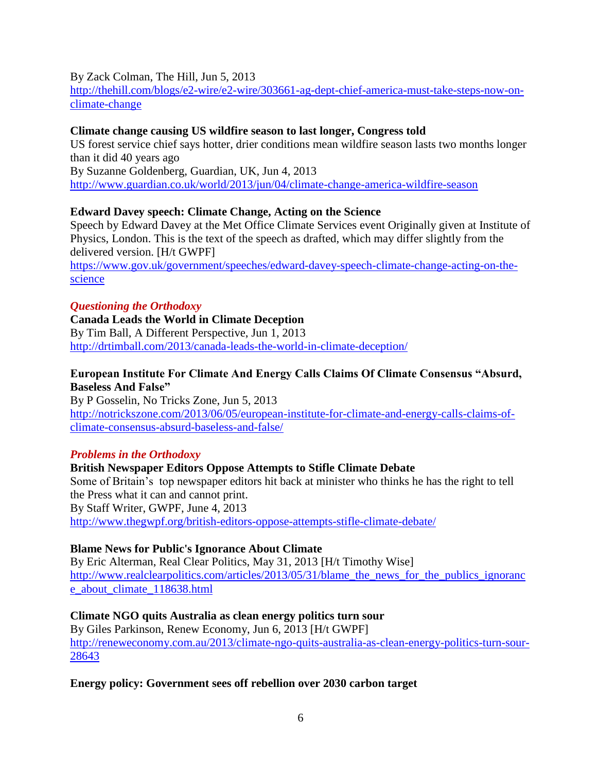### By Zack Colman, The Hill, Jun 5, 2013

[http://thehill.com/blogs/e2-wire/e2-wire/303661-ag-dept-chief-america-must-take-steps-now-on](http://thehill.com/blogs/e2-wire/e2-wire/303661-ag-dept-chief-america-must-take-steps-now-on-climate-change)[climate-change](http://thehill.com/blogs/e2-wire/e2-wire/303661-ag-dept-chief-america-must-take-steps-now-on-climate-change)

### **Climate change causing US wildfire season to last longer, Congress told**

US forest service chief says hotter, drier conditions mean wildfire season lasts two months longer than it did 40 years ago By Suzanne Goldenberg, Guardian, UK, Jun 4, 2013 <http://www.guardian.co.uk/world/2013/jun/04/climate-change-america-wildfire-season>

# **Edward Davey speech: Climate Change, Acting on the Science**

Speech by Edward Davey at the Met Office Climate Services event Originally given at Institute of Physics, London. This is the text of the speech as drafted, which may differ slightly from the delivered version. [H/t GWPF]

[https://www.gov.uk/government/speeches/edward-davey-speech-climate-change-acting-on-the](https://www.gov.uk/government/speeches/edward-davey-speech-climate-change-acting-on-the-science)[science](https://www.gov.uk/government/speeches/edward-davey-speech-climate-change-acting-on-the-science)

### *Questioning the Orthodoxy*

**Canada Leads the World in Climate Deception** By Tim Ball, A Different Perspective, Jun 1, 2013 <http://drtimball.com/2013/canada-leads-the-world-in-climate-deception/>

# **European Institute For Climate And Energy Calls Claims Of Climate Consensus "Absurd, Baseless And False"**

By P Gosselin, No Tricks Zone, Jun 5, 2013 [http://notrickszone.com/2013/06/05/european-institute-for-climate-and-energy-calls-claims-of](http://notrickszone.com/2013/06/05/european-institute-for-climate-and-energy-calls-claims-of-climate-consensus-absurd-baseless-and-false/)[climate-consensus-absurd-baseless-and-false/](http://notrickszone.com/2013/06/05/european-institute-for-climate-and-energy-calls-claims-of-climate-consensus-absurd-baseless-and-false/)

# *Problems in the Orthodoxy*

# **British Newspaper Editors Oppose Attempts to Stifle Climate Debate** Some of Britain's top newspaper editors hit back at minister who thinks he has the right to tell the Press what it can and cannot print. By Staff Writer, GWPF, June 4, 2013 <http://www.thegwpf.org/british-editors-oppose-attempts-stifle-climate-debate/>

# **Blame News for Public's Ignorance About Climate**

By Eric Alterman, Real Clear Politics, May 31, 2013 [H/t Timothy Wise] http://www.realclearpolitics.com/articles/2013/05/31/blame the news for the publics ignoranc [e\\_about\\_climate\\_118638.html](http://www.realclearpolitics.com/articles/2013/05/31/blame_the_news_for_the_publics_ignorance_about_climate_118638.html)

# **Climate NGO quits Australia as clean energy politics turn sour**

By Giles Parkinson, Renew Economy, Jun 6, 2013 [H/t GWPF] [http://reneweconomy.com.au/2013/climate-ngo-quits-australia-as-clean-energy-politics-turn-sour-](http://reneweconomy.com.au/2013/climate-ngo-quits-australia-as-clean-energy-politics-turn-sour-28643)[28643](http://reneweconomy.com.au/2013/climate-ngo-quits-australia-as-clean-energy-politics-turn-sour-28643)

#### **Energy policy: Government sees off rebellion over 2030 carbon target**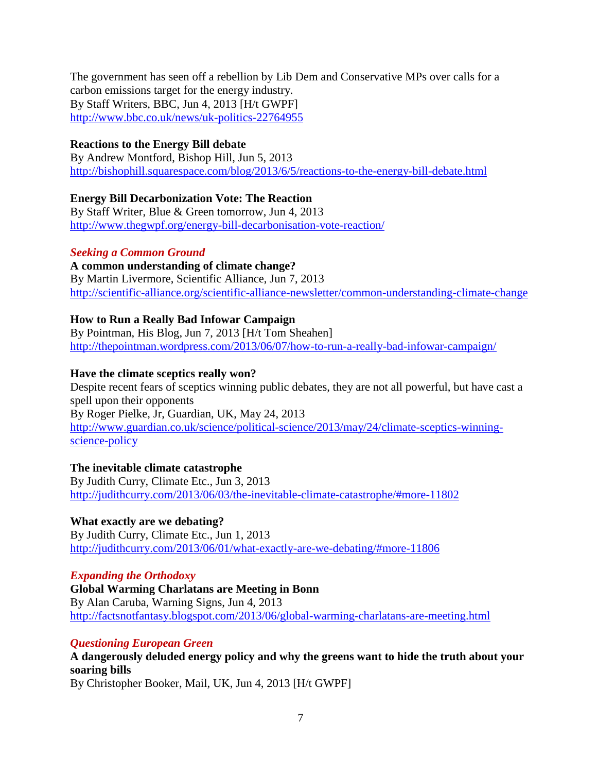The government has seen off a rebellion by Lib Dem and Conservative MPs over calls for a carbon emissions target for the energy industry. By Staff Writers, BBC, Jun 4, 2013 [H/t GWPF] <http://www.bbc.co.uk/news/uk-politics-22764955>

# **Reactions to the Energy Bill debate**

By Andrew Montford, Bishop Hill, Jun 5, 2013 <http://bishophill.squarespace.com/blog/2013/6/5/reactions-to-the-energy-bill-debate.html>

# **Energy Bill Decarbonization Vote: The Reaction**

By Staff Writer, Blue & Green tomorrow, Jun 4, 2013 <http://www.thegwpf.org/energy-bill-decarbonisation-vote-reaction/>

# *Seeking a Common Ground*

**A common understanding of climate change?** By Martin Livermore, Scientific Alliance, Jun 7, 2013 <http://scientific-alliance.org/scientific-alliance-newsletter/common-understanding-climate-change>

# **How to Run a Really Bad Infowar Campaign**

By Pointman, His Blog, Jun 7, 2013 [H/t Tom Sheahen] <http://thepointman.wordpress.com/2013/06/07/how-to-run-a-really-bad-infowar-campaign/>

# **Have the climate sceptics really won?**

Despite recent fears of sceptics winning public debates, they are not all powerful, but have cast a spell upon their opponents By Roger Pielke, Jr, Guardian, UK, May 24, 2013 [http://www.guardian.co.uk/science/political-science/2013/may/24/climate-sceptics-winning](http://www.guardian.co.uk/science/political-science/2013/may/24/climate-sceptics-winning-science-policy)[science-policy](http://www.guardian.co.uk/science/political-science/2013/may/24/climate-sceptics-winning-science-policy)

# **The inevitable climate catastrophe**

By Judith Curry, Climate Etc., Jun 3, 2013 <http://judithcurry.com/2013/06/03/the-inevitable-climate-catastrophe/#more-11802>

# **What exactly are we debating?**

By Judith Curry, Climate Etc., Jun 1, 2013 <http://judithcurry.com/2013/06/01/what-exactly-are-we-debating/#more-11806>

# *Expanding the Orthodoxy*

**Global Warming Charlatans are Meeting in Bonn** By Alan Caruba, Warning Signs, Jun 4, 2013 <http://factsnotfantasy.blogspot.com/2013/06/global-warming-charlatans-are-meeting.html>

# *Questioning European Green*

**A dangerously deluded energy policy and why the greens want to hide the truth about your soaring bills** 

By Christopher Booker, Mail, UK, Jun 4, 2013 [H/t GWPF]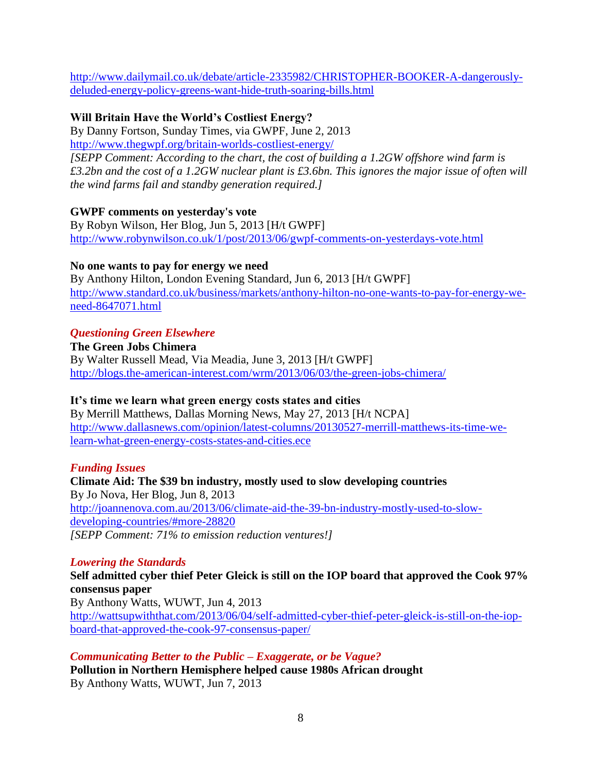[http://www.dailymail.co.uk/debate/article-2335982/CHRISTOPHER-BOOKER-A-dangerously](http://www.dailymail.co.uk/debate/article-2335982/CHRISTOPHER-BOOKER-A-dangerously-deluded-energy-policy-greens-want-hide-truth-soaring-bills.html)[deluded-energy-policy-greens-want-hide-truth-soaring-bills.html](http://www.dailymail.co.uk/debate/article-2335982/CHRISTOPHER-BOOKER-A-dangerously-deluded-energy-policy-greens-want-hide-truth-soaring-bills.html)

# **Will Britain Have the World's Costliest Energy?**

By Danny Fortson, Sunday Times, via GWPF, June 2, 2013 <http://www.thegwpf.org/britain-worlds-costliest-energy/>

*[SEPP Comment: According to the chart, the cost of building a 1.2GW offshore wind farm is £3.2bn and the cost of a 1.2GW nuclear plant is £3.6bn. This ignores the major issue of often will the wind farms fail and standby generation required.]*

# **GWPF comments on yesterday's vote**

By Robyn Wilson, Her Blog, Jun 5, 2013 [H/t GWPF] <http://www.robynwilson.co.uk/1/post/2013/06/gwpf-comments-on-yesterdays-vote.html>

# **No one wants to pay for energy we need**

By Anthony Hilton, London Evening Standard, Jun 6, 2013 [H/t GWPF] [http://www.standard.co.uk/business/markets/anthony-hilton-no-one-wants-to-pay-for-energy-we](http://www.standard.co.uk/business/markets/anthony-hilton-no-one-wants-to-pay-for-energy-we-need-8647071.html)[need-8647071.html](http://www.standard.co.uk/business/markets/anthony-hilton-no-one-wants-to-pay-for-energy-we-need-8647071.html)

# *Questioning Green Elsewhere*

**The Green Jobs Chimera** By Walter Russell Mead, Via Meadia, June 3, 2013 [H/t GWPF] <http://blogs.the-american-interest.com/wrm/2013/06/03/the-green-jobs-chimera/>

# **It's time we learn what green energy costs states and cities**

By Merrill Matthews, Dallas Morning News, May 27, 2013 [H/t NCPA] [http://www.dallasnews.com/opinion/latest-columns/20130527-merrill-matthews-its-time-we](http://www.dallasnews.com/opinion/latest-columns/20130527-merrill-matthews-its-time-we-learn-what-green-energy-costs-states-and-cities.ece)[learn-what-green-energy-costs-states-and-cities.ece](http://www.dallasnews.com/opinion/latest-columns/20130527-merrill-matthews-its-time-we-learn-what-green-energy-costs-states-and-cities.ece)

# *Funding Issues*

**Climate Aid: The \$39 bn industry, mostly used to slow developing countries** By Jo Nova, Her Blog, Jun 8, 2013 [http://joannenova.com.au/2013/06/climate-aid-the-39-bn-industry-mostly-used-to-slow](http://joannenova.com.au/2013/06/climate-aid-the-39-bn-industry-mostly-used-to-slow-developing-countries/#more-28820)[developing-countries/#more-28820](http://joannenova.com.au/2013/06/climate-aid-the-39-bn-industry-mostly-used-to-slow-developing-countries/#more-28820) *[SEPP Comment: 71% to emission reduction ventures!]*

# *Lowering the Standards*

**Self admitted cyber thief Peter Gleick is still on the IOP board that approved the Cook 97% consensus paper**

By Anthony Watts, WUWT, Jun 4, 2013 [http://wattsupwiththat.com/2013/06/04/self-admitted-cyber-thief-peter-gleick-is-still-on-the-iop](http://wattsupwiththat.com/2013/06/04/self-admitted-cyber-thief-peter-gleick-is-still-on-the-iop-board-that-approved-the-cook-97-consensus-paper/)[board-that-approved-the-cook-97-consensus-paper/](http://wattsupwiththat.com/2013/06/04/self-admitted-cyber-thief-peter-gleick-is-still-on-the-iop-board-that-approved-the-cook-97-consensus-paper/)

# *Communicating Better to the Public – Exaggerate, or be Vague?*

**Pollution in Northern Hemisphere helped cause 1980s African drought** By Anthony Watts, WUWT, Jun 7, 2013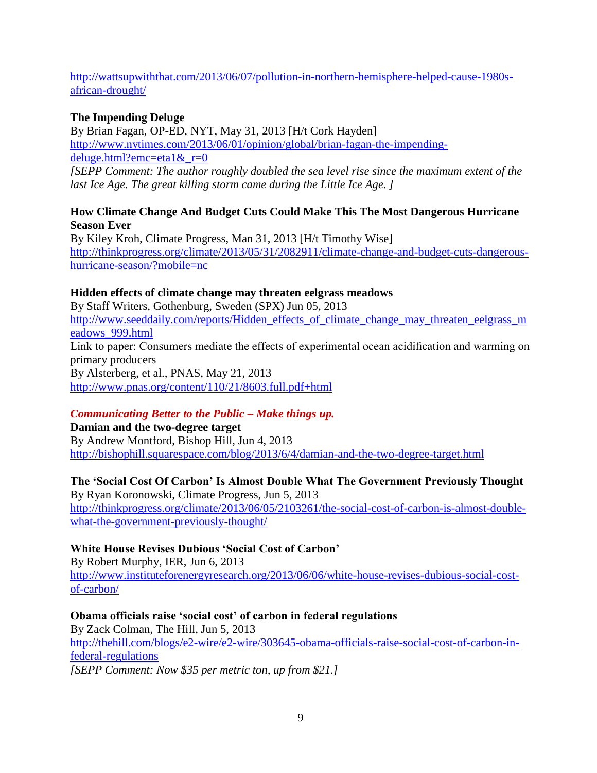# [http://wattsupwiththat.com/2013/06/07/pollution-in-northern-hemisphere-helped-cause-1980s](http://wattsupwiththat.com/2013/06/07/pollution-in-northern-hemisphere-helped-cause-1980s-african-drought/)[african-drought/](http://wattsupwiththat.com/2013/06/07/pollution-in-northern-hemisphere-helped-cause-1980s-african-drought/)

# **The Impending Deluge**

By Brian Fagan, OP-ED, NYT, May 31, 2013 [H/t Cork Hayden] [http://www.nytimes.com/2013/06/01/opinion/global/brian-fagan-the-impending](http://www.nytimes.com/2013/06/01/opinion/global/brian-fagan-the-impending-deluge.html?emc=eta1&_r=0)deluge.html?emc=eta1& $r=0$ 

*[SEPP Comment: The author roughly doubled the sea level rise since the maximum extent of the last Ice Age. The great killing storm came during the Little Ice Age. ]*

# **How Climate Change And Budget Cuts Could Make This The Most Dangerous Hurricane Season Ever**

By Kiley Kroh, Climate Progress, Man 31, 2013 [H/t Timothy Wise] [http://thinkprogress.org/climate/2013/05/31/2082911/climate-change-and-budget-cuts-dangerous](http://thinkprogress.org/climate/2013/05/31/2082911/climate-change-and-budget-cuts-dangerous-hurricane-season/?mobile=nc)[hurricane-season/?mobile=nc](http://thinkprogress.org/climate/2013/05/31/2082911/climate-change-and-budget-cuts-dangerous-hurricane-season/?mobile=nc)

# **Hidden effects of climate change may threaten eelgrass meadows**

By Staff Writers, Gothenburg, Sweden (SPX) Jun 05, 2013 [http://www.seeddaily.com/reports/Hidden\\_effects\\_of\\_climate\\_change\\_may\\_threaten\\_eelgrass\\_m](http://www.seeddaily.com/reports/Hidden_effects_of_climate_change_may_threaten_eelgrass_meadows_999.html) [eadows\\_999.html](http://www.seeddaily.com/reports/Hidden_effects_of_climate_change_may_threaten_eelgrass_meadows_999.html) Link to paper: Consumers mediate the effects of experimental ocean acidification and warming on primary producers By Alsterberg, et al., PNAS, May 21, 2013 <http://www.pnas.org/content/110/21/8603.full.pdf+html>

# *Communicating Better to the Public – Make things up.*

**Damian and the two-degree target** By Andrew Montford, Bishop Hill, Jun 4, 2013 <http://bishophill.squarespace.com/blog/2013/6/4/damian-and-the-two-degree-target.html>

### **The 'Social Cost Of Carbon' Is Almost Double What The Government Previously Thought** By Ryan Koronowski, Climate Progress, Jun 5, 2013

[http://thinkprogress.org/climate/2013/06/05/2103261/the-social-cost-of-carbon-is-almost-double](http://thinkprogress.org/climate/2013/06/05/2103261/the-social-cost-of-carbon-is-almost-double-what-the-government-previously-thought/)[what-the-government-previously-thought/](http://thinkprogress.org/climate/2013/06/05/2103261/the-social-cost-of-carbon-is-almost-double-what-the-government-previously-thought/)

# **White House Revises Dubious 'Social Cost of Carbon'**

By Robert Murphy, IER, Jun 6, 2013 [http://www.instituteforenergyresearch.org/2013/06/06/white-house-revises-dubious-social-cost](http://www.instituteforenergyresearch.org/2013/06/06/white-house-revises-dubious-social-cost-of-carbon/)[of-carbon/](http://www.instituteforenergyresearch.org/2013/06/06/white-house-revises-dubious-social-cost-of-carbon/)

# **Obama officials raise 'social cost' of carbon in federal regulations**

By Zack Colman, The Hill, Jun 5, 2013 [http://thehill.com/blogs/e2-wire/e2-wire/303645-obama-officials-raise-social-cost-of-carbon-in](http://thehill.com/blogs/e2-wire/e2-wire/303645-obama-officials-raise-social-cost-of-carbon-in-federal-regulations)[federal-regulations](http://thehill.com/blogs/e2-wire/e2-wire/303645-obama-officials-raise-social-cost-of-carbon-in-federal-regulations)

*[SEPP Comment: Now \$35 per metric ton, up from \$21.]*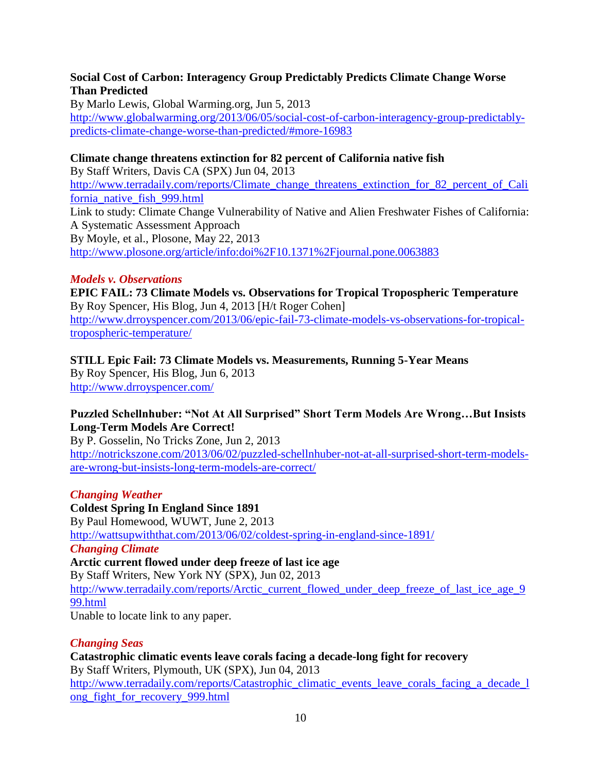### **Social Cost of Carbon: Interagency Group Predictably Predicts Climate Change Worse Than Predicted**

By Marlo Lewis, Global Warming.org, Jun 5, 2013 [http://www.globalwarming.org/2013/06/05/social-cost-of-carbon-interagency-group-predictably](http://www.globalwarming.org/2013/06/05/social-cost-of-carbon-interagency-group-predictably-predicts-climate-change-worse-than-predicted/#more-16983)[predicts-climate-change-worse-than-predicted/#more-16983](http://www.globalwarming.org/2013/06/05/social-cost-of-carbon-interagency-group-predictably-predicts-climate-change-worse-than-predicted/#more-16983)

# **Climate change threatens extinction for 82 percent of California native fish**

By Staff Writers, Davis CA (SPX) Jun 04, 2013 [http://www.terradaily.com/reports/Climate\\_change\\_threatens\\_extinction\\_for\\_82\\_percent\\_of\\_Cali](http://www.terradaily.com/reports/Climate_change_threatens_extinction_for_82_percent_of_California_native_fish_999.html) [fornia\\_native\\_fish\\_999.html](http://www.terradaily.com/reports/Climate_change_threatens_extinction_for_82_percent_of_California_native_fish_999.html) Link to study: Climate Change Vulnerability of Native and Alien Freshwater Fishes of California: A Systematic Assessment Approach By Moyle, et al., Plosone, May 22, 2013 <http://www.plosone.org/article/info:doi%2F10.1371%2Fjournal.pone.0063883>

#### *Models v. Observations*

**EPIC FAIL: 73 Climate Models vs. Observations for Tropical Tropospheric Temperature** By Roy Spencer, His Blog, Jun 4, 2013 [H/t Roger Cohen] [http://www.drroyspencer.com/2013/06/epic-fail-73-climate-models-vs-observations-for-tropical](http://www.drroyspencer.com/2013/06/epic-fail-73-climate-models-vs-observations-for-tropical-tropospheric-temperature/)[tropospheric-temperature/](http://www.drroyspencer.com/2013/06/epic-fail-73-climate-models-vs-observations-for-tropical-tropospheric-temperature/)

**STILL Epic Fail: 73 Climate Models vs. Measurements, Running 5-Year Means** By Roy Spencer, His Blog, Jun 6, 2013

<http://www.drroyspencer.com/>

### **Puzzled Schellnhuber: "Not At All Surprised" Short Term Models Are Wrong…But Insists Long-Term Models Are Correct!**

By P. Gosselin, No Tricks Zone, Jun 2, 2013 [http://notrickszone.com/2013/06/02/puzzled-schellnhuber-not-at-all-surprised-short-term-models](http://notrickszone.com/2013/06/02/puzzled-schellnhuber-not-at-all-surprised-short-term-models-are-wrong-but-insists-long-term-models-are-correct/)[are-wrong-but-insists-long-term-models-are-correct/](http://notrickszone.com/2013/06/02/puzzled-schellnhuber-not-at-all-surprised-short-term-models-are-wrong-but-insists-long-term-models-are-correct/)

#### *Changing Weather*

**Coldest Spring In England Since 1891** By Paul Homewood, WUWT, June 2, 2013 <http://wattsupwiththat.com/2013/06/02/coldest-spring-in-england-since-1891/> *Changing Climate* **Arctic current flowed under deep freeze of last ice age**

By Staff Writers, New York NY (SPX), Jun 02, 2013 [http://www.terradaily.com/reports/Arctic\\_current\\_flowed\\_under\\_deep\\_freeze\\_of\\_last\\_ice\\_age\\_9](http://www.terradaily.com/reports/Arctic_current_flowed_under_deep_freeze_of_last_ice_age_999.html) [99.html](http://www.terradaily.com/reports/Arctic_current_flowed_under_deep_freeze_of_last_ice_age_999.html)

Unable to locate link to any paper.

# *Changing Seas*

**Catastrophic climatic events leave corals facing a decade-long fight for recovery** By Staff Writers, Plymouth, UK (SPX), Jun 04, 2013 [http://www.terradaily.com/reports/Catastrophic\\_climatic\\_events\\_leave\\_corals\\_facing\\_a\\_decade\\_l](http://www.terradaily.com/reports/Catastrophic_climatic_events_leave_corals_facing_a_decade_long_fight_for_recovery_999.html) [ong\\_fight\\_for\\_recovery\\_999.html](http://www.terradaily.com/reports/Catastrophic_climatic_events_leave_corals_facing_a_decade_long_fight_for_recovery_999.html)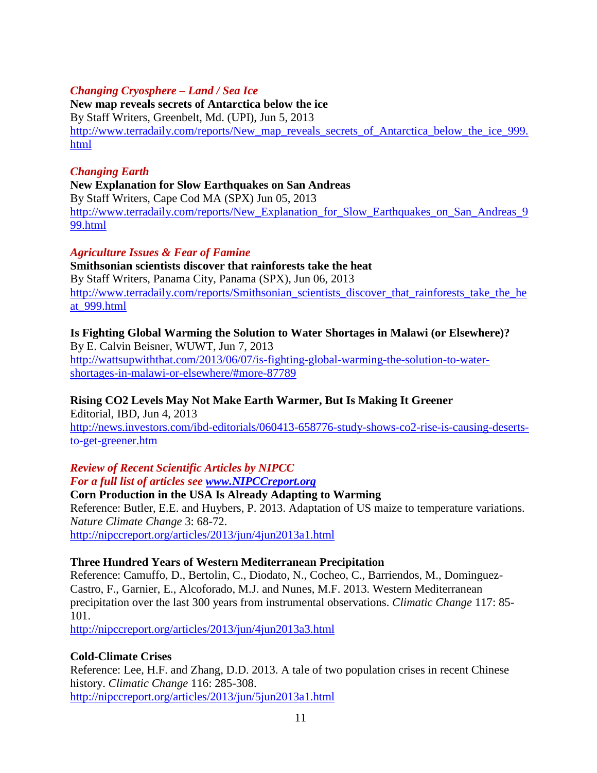# *Changing Cryosphere – Land / Sea Ice*

**New map reveals secrets of Antarctica below the ice** By Staff Writers, Greenbelt, Md. (UPI), Jun 5, 2013 [http://www.terradaily.com/reports/New\\_map\\_reveals\\_secrets\\_of\\_Antarctica\\_below\\_the\\_ice\\_999.](http://www.terradaily.com/reports/New_map_reveals_secrets_of_Antarctica_below_the_ice_999.html) [html](http://www.terradaily.com/reports/New_map_reveals_secrets_of_Antarctica_below_the_ice_999.html)

#### *Changing Earth*

#### **New Explanation for Slow Earthquakes on San Andreas**

By Staff Writers, Cape Cod MA (SPX) Jun 05, 2013 [http://www.terradaily.com/reports/New\\_Explanation\\_for\\_Slow\\_Earthquakes\\_on\\_San\\_Andreas\\_9](http://www.terradaily.com/reports/New_Explanation_for_Slow_Earthquakes_on_San_Andreas_999.html) [99.html](http://www.terradaily.com/reports/New_Explanation_for_Slow_Earthquakes_on_San_Andreas_999.html)

### *Agriculture Issues & Fear of Famine*

**Smithsonian scientists discover that rainforests take the heat** By Staff Writers, Panama City, Panama (SPX), Jun 06, 2013 [http://www.terradaily.com/reports/Smithsonian\\_scientists\\_discover\\_that\\_rainforests\\_take\\_the\\_he](http://www.terradaily.com/reports/Smithsonian_scientists_discover_that_rainforests_take_the_heat_999.html) [at\\_999.html](http://www.terradaily.com/reports/Smithsonian_scientists_discover_that_rainforests_take_the_heat_999.html)

# **Is Fighting Global Warming the Solution to Water Shortages in Malawi (or Elsewhere)?**

By E. Calvin Beisner, WUWT, Jun 7, 2013 [http://wattsupwiththat.com/2013/06/07/is-fighting-global-warming-the-solution-to-water](http://wattsupwiththat.com/2013/06/07/is-fighting-global-warming-the-solution-to-water-shortages-in-malawi-or-elsewhere/#more-87789)[shortages-in-malawi-or-elsewhere/#more-87789](http://wattsupwiththat.com/2013/06/07/is-fighting-global-warming-the-solution-to-water-shortages-in-malawi-or-elsewhere/#more-87789)

# **Rising CO2 Levels May Not Make Earth Warmer, But Is Making It Greener**

Editorial, IBD, Jun 4, 2013 [http://news.investors.com/ibd-editorials/060413-658776-study-shows-co2-rise-is-causing-deserts](http://news.investors.com/ibd-editorials/060413-658776-study-shows-co2-rise-is-causing-deserts-to-get-greener.htm)[to-get-greener.htm](http://news.investors.com/ibd-editorials/060413-658776-study-shows-co2-rise-is-causing-deserts-to-get-greener.htm)

# *Review of Recent Scientific Articles by NIPCC*

# *For a full list of articles see [www.NIPCCreport.org](http://www.nipccreport.org/)*

**Corn Production in the USA Is Already Adapting to Warming** Reference: Butler, E.E. and Huybers, P. 2013. Adaptation of US maize to temperature variations. *Nature Climate Change* 3: 68-72. <http://nipccreport.org/articles/2013/jun/4jun2013a1.html>

#### **Three Hundred Years of Western Mediterranean Precipitation**

Reference: Camuffo, D., Bertolin, C., Diodato, N., Cocheo, C., Barriendos, M., Dominguez-Castro, F., Garnier, E., Alcoforado, M.J. and Nunes, M.F. 2013. Western Mediterranean precipitation over the last 300 years from instrumental observations. *Climatic Change* 117: 85- 101.

<http://nipccreport.org/articles/2013/jun/4jun2013a3.html>

# **Cold-Climate Crises**

Reference: Lee, H.F. and Zhang, D.D. 2013. A tale of two population crises in recent Chinese history. *Climatic Change* 116: 285-308. <http://nipccreport.org/articles/2013/jun/5jun2013a1.html>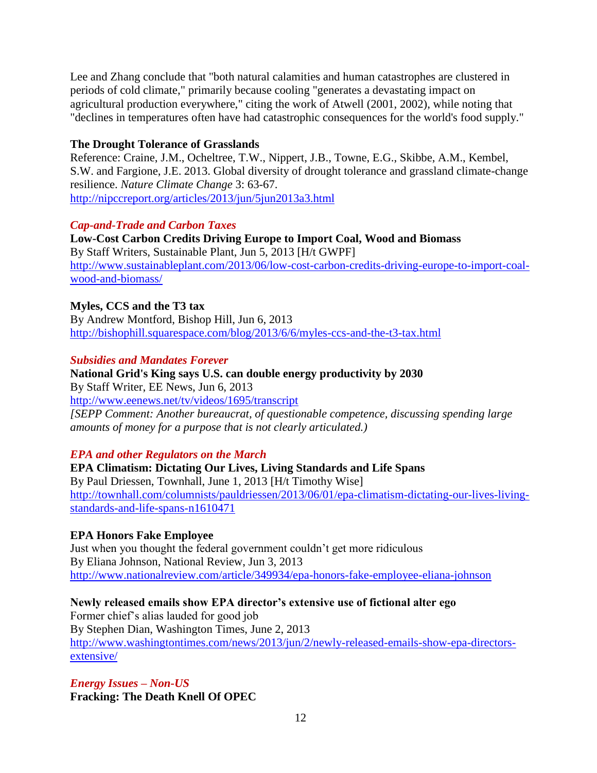Lee and Zhang conclude that "both natural calamities and human catastrophes are clustered in periods of cold climate," primarily because cooling "generates a devastating impact on agricultural production everywhere," citing the work of Atwell (2001, 2002), while noting that "declines in temperatures often have had catastrophic consequences for the world's food supply."

### **The Drought Tolerance of Grasslands**

Reference: Craine, J.M., Ocheltree, T.W., Nippert, J.B., Towne, E.G., Skibbe, A.M., Kembel, S.W. and Fargione, J.E. 2013. Global diversity of drought tolerance and grassland climate-change resilience. *Nature Climate Change* 3: 63-67. <http://nipccreport.org/articles/2013/jun/5jun2013a3.html>

### *Cap-and-Trade and Carbon Taxes*

**Low-Cost Carbon Credits Driving Europe to Import Coal, Wood and Biomass** By Staff Writers, Sustainable Plant, Jun 5, 2013 [H/t GWPF] [http://www.sustainableplant.com/2013/06/low-cost-carbon-credits-driving-europe-to-import-coal](http://www.sustainableplant.com/2013/06/low-cost-carbon-credits-driving-europe-to-import-coal-wood-and-biomass/)[wood-and-biomass/](http://www.sustainableplant.com/2013/06/low-cost-carbon-credits-driving-europe-to-import-coal-wood-and-biomass/)

### **Myles, CCS and the T3 tax**

By Andrew Montford, Bishop Hill, Jun 6, 2013 <http://bishophill.squarespace.com/blog/2013/6/6/myles-ccs-and-the-t3-tax.html>

### *Subsidies and Mandates Forever*

**National Grid's King says U.S. can double energy productivity by 2030** By Staff Writer, EE News, Jun 6, 2013 <http://www.eenews.net/tv/videos/1695/transcript> *[SEPP Comment: Another bureaucrat, of questionable competence, discussing spending large amounts of money for a purpose that is not clearly articulated.)*

# *EPA and other Regulators on the March*

**EPA Climatism: Dictating Our Lives, Living Standards and Life Spans** By Paul Driessen, Townhall, June 1, 2013 [H/t Timothy Wise] [http://townhall.com/columnists/pauldriessen/2013/06/01/epa-climatism-dictating-our-lives-living](http://townhall.com/columnists/pauldriessen/2013/06/01/epa-climatism-dictating-our-lives-living-standards-and-life-spans-n1610471)[standards-and-life-spans-n1610471](http://townhall.com/columnists/pauldriessen/2013/06/01/epa-climatism-dictating-our-lives-living-standards-and-life-spans-n1610471)

# **EPA Honors Fake Employee**

Just when you thought the federal government couldn't get more ridiculous By Eliana Johnson, National Review, Jun 3, 2013 <http://www.nationalreview.com/article/349934/epa-honors-fake-employee-eliana-johnson>

# **Newly released emails show EPA director's extensive use of fictional alter ego**

Former chief's alias lauded for good job By Stephen Dian, Washington Times, June 2, 2013 [http://www.washingtontimes.com/news/2013/jun/2/newly-released-emails-show-epa-directors](http://www.washingtontimes.com/news/2013/jun/2/newly-released-emails-show-epa-directors-extensive/)[extensive/](http://www.washingtontimes.com/news/2013/jun/2/newly-released-emails-show-epa-directors-extensive/)

*Energy Issues – Non-US* **Fracking: The Death Knell Of OPEC**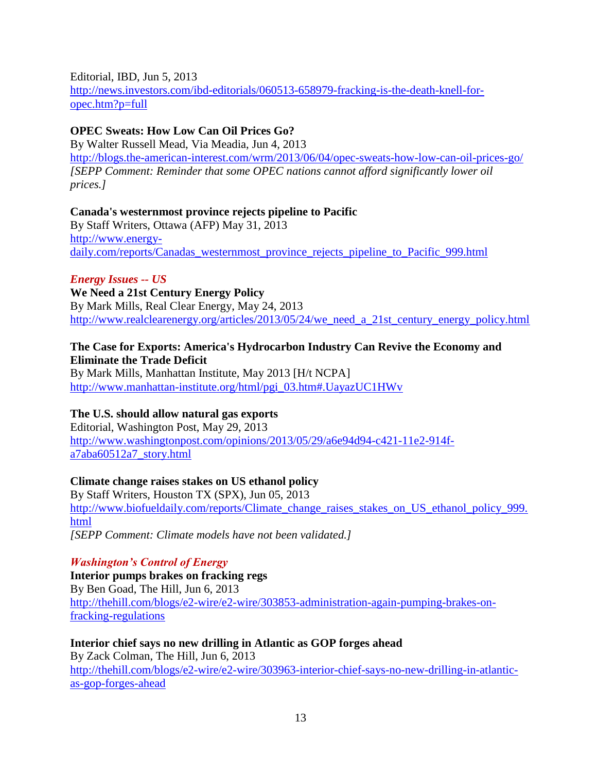Editorial, IBD, Jun 5, 2013

[http://news.investors.com/ibd-editorials/060513-658979-fracking-is-the-death-knell-for](http://news.investors.com/ibd-editorials/060513-658979-fracking-is-the-death-knell-for-opec.htm?p=full)[opec.htm?p=full](http://news.investors.com/ibd-editorials/060513-658979-fracking-is-the-death-knell-for-opec.htm?p=full)

# **OPEC Sweats: How Low Can Oil Prices Go?**

By Walter Russell Mead, Via Meadia, Jun 4, 2013 <http://blogs.the-american-interest.com/wrm/2013/06/04/opec-sweats-how-low-can-oil-prices-go/> *[SEPP Comment: Reminder that some OPEC nations cannot afford significantly lower oil prices.]*

# **Canada's westernmost province rejects pipeline to Pacific**

By Staff Writers, Ottawa (AFP) May 31, 2013 [http://www.energy](http://www.energy-daily.com/reports/Canadas_westernmost_province_rejects_pipeline_to_Pacific_999.html)[daily.com/reports/Canadas\\_westernmost\\_province\\_rejects\\_pipeline\\_to\\_Pacific\\_999.html](http://www.energy-daily.com/reports/Canadas_westernmost_province_rejects_pipeline_to_Pacific_999.html)

# *Energy Issues -- US*

**We Need a 21st Century Energy Policy** By Mark Mills, Real Clear Energy, May 24, 2013 [http://www.realclearenergy.org/articles/2013/05/24/we\\_need\\_a\\_21st\\_century\\_energy\\_policy.html](http://www.realclearenergy.org/articles/2013/05/24/we_need_a_21st_century_energy_policy.html)

# **The Case for Exports: America's Hydrocarbon Industry Can Revive the Economy and Eliminate the Trade Deficit**

By Mark Mills, Manhattan Institute, May 2013 [H/t NCPA] [http://www.manhattan-institute.org/html/pgi\\_03.htm#.UayazUC1HWv](http://www.manhattan-institute.org/html/pgi_03.htm#.UayazUC1HWv)

# **The U.S. should allow natural gas exports**

Editorial, Washington Post, May 29, 2013 [http://www.washingtonpost.com/opinions/2013/05/29/a6e94d94-c421-11e2-914f](http://www.washingtonpost.com/opinions/2013/05/29/a6e94d94-c421-11e2-914f-a7aba60512a7_story.html)[a7aba60512a7\\_story.html](http://www.washingtonpost.com/opinions/2013/05/29/a6e94d94-c421-11e2-914f-a7aba60512a7_story.html)

# **Climate change raises stakes on US ethanol policy**

By Staff Writers, Houston TX (SPX), Jun 05, 2013 [http://www.biofueldaily.com/reports/Climate\\_change\\_raises\\_stakes\\_on\\_US\\_ethanol\\_policy\\_999.](http://www.biofueldaily.com/reports/Climate_change_raises_stakes_on_US_ethanol_policy_999.html) [html](http://www.biofueldaily.com/reports/Climate_change_raises_stakes_on_US_ethanol_policy_999.html) *[SEPP Comment: Climate models have not been validated.]*

# *Washington's Control of Energy*

**Interior pumps brakes on fracking regs** By Ben Goad, The Hill, Jun 6, 2013 [http://thehill.com/blogs/e2-wire/e2-wire/303853-administration-again-pumping-brakes-on](http://thehill.com/blogs/e2-wire/e2-wire/303853-administration-again-pumping-brakes-on-fracking-regulations)[fracking-regulations](http://thehill.com/blogs/e2-wire/e2-wire/303853-administration-again-pumping-brakes-on-fracking-regulations)

**Interior chief says no new drilling in Atlantic as GOP forges ahead** By Zack Colman, The Hill, Jun 6, 2013 [http://thehill.com/blogs/e2-wire/e2-wire/303963-interior-chief-says-no-new-drilling-in-atlantic](http://thehill.com/blogs/e2-wire/e2-wire/303963-interior-chief-says-no-new-drilling-in-atlantic-as-gop-forges-ahead)[as-gop-forges-ahead](http://thehill.com/blogs/e2-wire/e2-wire/303963-interior-chief-says-no-new-drilling-in-atlantic-as-gop-forges-ahead)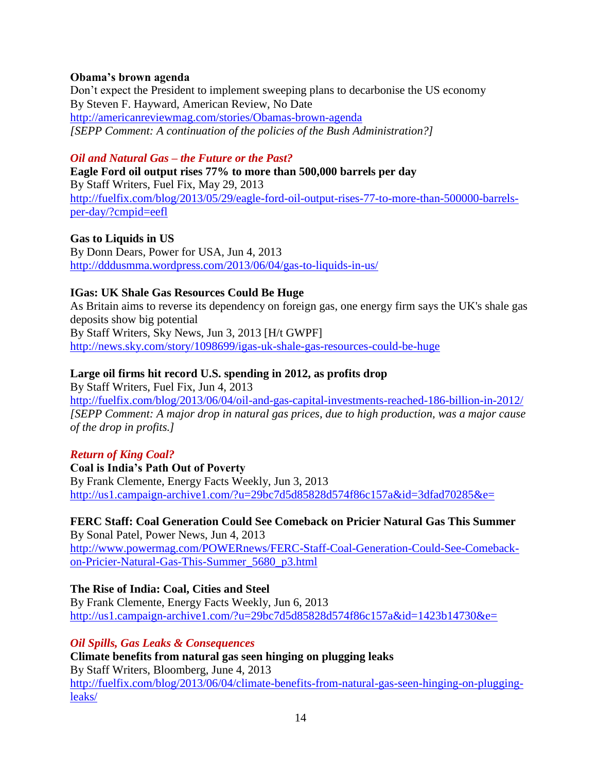#### **Obama's brown agenda**

Don't expect the President to implement sweeping plans to decarbonise the US economy By Steven F. Hayward, American Review, No Date <http://americanreviewmag.com/stories/Obamas-brown-agenda> *[SEPP Comment: A continuation of the policies of the Bush Administration?]*

### *Oil and Natural Gas – the Future or the Past?*

**Eagle Ford oil output rises 77% to more than 500,000 barrels per day** By Staff Writers, Fuel Fix, May 29, 2013 [http://fuelfix.com/blog/2013/05/29/eagle-ford-oil-output-rises-77-to-more-than-500000-barrels](http://fuelfix.com/blog/2013/05/29/eagle-ford-oil-output-rises-77-to-more-than-500000-barrels-per-day/?cmpid=eefl)[per-day/?cmpid=eefl](http://fuelfix.com/blog/2013/05/29/eagle-ford-oil-output-rises-77-to-more-than-500000-barrels-per-day/?cmpid=eefl)

**Gas to Liquids in US**

By Donn Dears, Power for USA, Jun 4, 2013 <http://dddusmma.wordpress.com/2013/06/04/gas-to-liquids-in-us/>

# **IGas: UK Shale Gas Resources Could Be Huge**

As Britain aims to reverse its dependency on foreign gas, one energy firm says the UK's shale gas deposits show big potential By Staff Writers, Sky News, Jun 3, 2013 [H/t GWPF] <http://news.sky.com/story/1098699/igas-uk-shale-gas-resources-could-be-huge>

# **Large oil firms hit record U.S. spending in 2012, as profits drop**

By Staff Writers, Fuel Fix, Jun 4, 2013

<http://fuelfix.com/blog/2013/06/04/oil-and-gas-capital-investments-reached-186-billion-in-2012/> *[SEPP Comment: A major drop in natural gas prices, due to high production, was a major cause of the drop in profits.]*

#### *Return of King Coal?*

**Coal is India's Path Out of Poverty** By Frank Clemente, Energy Facts Weekly, Jun 3, 2013 <http://us1.campaign-archive1.com/?u=29bc7d5d85828d574f86c157a&id=3dfad70285&e=>

# **FERC Staff: Coal Generation Could See Comeback on Pricier Natural Gas This Summer**

By Sonal Patel, Power News, Jun 4, 2013 [http://www.powermag.com/POWERnews/FERC-Staff-Coal-Generation-Could-See-Comeback](http://www.powermag.com/POWERnews/FERC-Staff-Coal-Generation-Could-See-Comeback-on-Pricier-Natural-Gas-This-Summer_5680_p3.html)[on-Pricier-Natural-Gas-This-Summer\\_5680\\_p3.html](http://www.powermag.com/POWERnews/FERC-Staff-Coal-Generation-Could-See-Comeback-on-Pricier-Natural-Gas-This-Summer_5680_p3.html)

# **The Rise of India: Coal, Cities and Steel**

By Frank Clemente, Energy Facts Weekly, Jun 6, 2013 <http://us1.campaign-archive1.com/?u=29bc7d5d85828d574f86c157a&id=1423b14730&e=>

#### *Oil Spills, Gas Leaks & Consequences*

**Climate benefits from natural gas seen hinging on plugging leaks** By Staff Writers, Bloomberg, June 4, 2013 [http://fuelfix.com/blog/2013/06/04/climate-benefits-from-natural-gas-seen-hinging-on-plugging](http://fuelfix.com/blog/2013/06/04/climate-benefits-from-natural-gas-seen-hinging-on-plugging-leaks/)[leaks/](http://fuelfix.com/blog/2013/06/04/climate-benefits-from-natural-gas-seen-hinging-on-plugging-leaks/)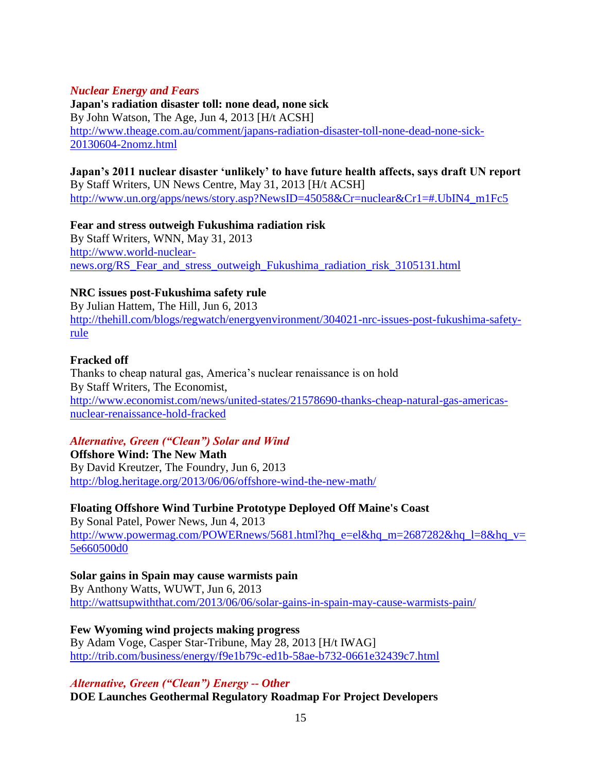#### *Nuclear Energy and Fears*

**Japan's radiation disaster toll: none dead, none sick** By John Watson, The Age, Jun 4, 2013 [H/t ACSH] [http://www.theage.com.au/comment/japans-radiation-disaster-toll-none-dead-none-sick-](http://www.theage.com.au/comment/japans-radiation-disaster-toll-none-dead-none-sick-20130604-2nomz.html)[20130604-2nomz.html](http://www.theage.com.au/comment/japans-radiation-disaster-toll-none-dead-none-sick-20130604-2nomz.html)

**Japan's 2011 nuclear disaster 'unlikely' to have future health affects, says draft UN report** By Staff Writers, UN News Centre, May 31, 2013 [H/t ACSH] [http://www.un.org/apps/news/story.asp?NewsID=45058&Cr=nuclear&Cr1=#.UbIN4\\_m1Fc5](http://www.un.org/apps/news/story.asp?NewsID=45058&Cr=nuclear&Cr1=#.UbIN4_m1Fc5)

**Fear and stress outweigh Fukushima radiation risk** By Staff Writers, WNN, May 31, 2013 [http://www.world-nuclear](http://www.world-nuclear-news.org/RS_Fear_and_stress_outweigh_Fukushima_radiation_risk_3105131.html)[news.org/RS\\_Fear\\_and\\_stress\\_outweigh\\_Fukushima\\_radiation\\_risk\\_3105131.html](http://www.world-nuclear-news.org/RS_Fear_and_stress_outweigh_Fukushima_radiation_risk_3105131.html)

### **NRC issues post-Fukushima safety rule**

By Julian Hattem, The Hill, Jun 6, 2013 [http://thehill.com/blogs/regwatch/energyenvironment/304021-nrc-issues-post-fukushima-safety](http://thehill.com/blogs/regwatch/energyenvironment/304021-nrc-issues-post-fukushima-safety-rule)[rule](http://thehill.com/blogs/regwatch/energyenvironment/304021-nrc-issues-post-fukushima-safety-rule)

### **Fracked off**

Thanks to cheap natural gas, America's nuclear renaissance is on hold By Staff Writers, The Economist, [http://www.economist.com/news/united-states/21578690-thanks-cheap-natural-gas-americas](http://www.economist.com/news/united-states/21578690-thanks-cheap-natural-gas-americas-nuclear-renaissance-hold-fracked)[nuclear-renaissance-hold-fracked](http://www.economist.com/news/united-states/21578690-thanks-cheap-natural-gas-americas-nuclear-renaissance-hold-fracked)

#### *Alternative, Green ("Clean") Solar and Wind*

**Offshore Wind: The New Math** By David Kreutzer, The Foundry, Jun 6, 2013 <http://blog.heritage.org/2013/06/06/offshore-wind-the-new-math/>

**Floating Offshore Wind Turbine Prototype Deployed Off Maine's Coast** By Sonal Patel, Power News, Jun 4, 2013 [http://www.powermag.com/POWERnews/5681.html?hq\\_e=el&hq\\_m=2687282&hq\\_l=8&hq\\_v=](http://www.powermag.com/POWERnews/5681.html?hq_e=el&hq_m=2687282&hq_l=8&hq_v=5e660500d0) [5e660500d0](http://www.powermag.com/POWERnews/5681.html?hq_e=el&hq_m=2687282&hq_l=8&hq_v=5e660500d0)

#### **Solar gains in Spain may cause warmists pain**

By Anthony Watts, WUWT, Jun 6, 2013 <http://wattsupwiththat.com/2013/06/06/solar-gains-in-spain-may-cause-warmists-pain/>

#### **Few Wyoming wind projects making progress**

By Adam Voge, Casper Star-Tribune, May 28, 2013 [H/t IWAG] <http://trib.com/business/energy/f9e1b79c-ed1b-58ae-b732-0661e32439c7.html>

*Alternative, Green ("Clean") Energy -- Other*

**DOE Launches Geothermal Regulatory Roadmap For Project Developers**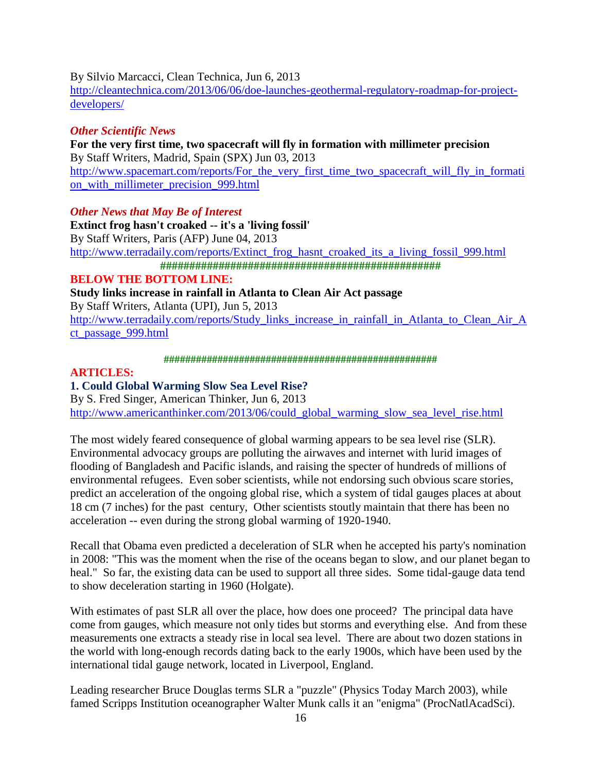By Silvio Marcacci, Clean Technica, Jun 6, 2013

[http://cleantechnica.com/2013/06/06/doe-launches-geothermal-regulatory-roadmap-for-project](http://cleantechnica.com/2013/06/06/doe-launches-geothermal-regulatory-roadmap-for-project-developers/)[developers/](http://cleantechnica.com/2013/06/06/doe-launches-geothermal-regulatory-roadmap-for-project-developers/)

### *Other Scientific News*

**For the very first time, two spacecraft will fly in formation with millimeter precision** By Staff Writers, Madrid, Spain (SPX) Jun 03, 2013 [http://www.spacemart.com/reports/For\\_the\\_very\\_first\\_time\\_two\\_spacecraft\\_will\\_fly\\_in\\_formati](http://www.spacemart.com/reports/For_the_very_first_time_two_spacecraft_will_fly_in_formation_with_millimeter_precision_999.html) [on\\_with\\_millimeter\\_precision\\_999.html](http://www.spacemart.com/reports/For_the_very_first_time_two_spacecraft_will_fly_in_formation_with_millimeter_precision_999.html)

### *Other News that May Be of Interest*

**Extinct frog hasn't croaked -- it's a 'living fossil'** By Staff Writers, Paris (AFP) June 04, 2013 [http://www.terradaily.com/reports/Extinct\\_frog\\_hasnt\\_croaked\\_its\\_a\\_living\\_fossil\\_999.html](http://www.terradaily.com/reports/Extinct_frog_hasnt_croaked_its_a_living_fossil_999.html) **################################################**

# **BELOW THE BOTTOM LINE:**

**Study links increase in rainfall in Atlanta to Clean Air Act passage**

By Staff Writers, Atlanta (UPI), Jun 5, 2013

[http://www.terradaily.com/reports/Study\\_links\\_increase\\_in\\_rainfall\\_in\\_Atlanta\\_to\\_Clean\\_Air\\_A](http://www.terradaily.com/reports/Study_links_increase_in_rainfall_in_Atlanta_to_Clean_Air_Act_passage_999.html) [ct\\_passage\\_999.html](http://www.terradaily.com/reports/Study_links_increase_in_rainfall_in_Atlanta_to_Clean_Air_Act_passage_999.html)

**###################################################**

#### **ARTICLES:**

# **1. Could Global Warming Slow Sea Level Rise?**

By S. Fred Singer, American Thinker, Jun 6, 2013 [http://www.americanthinker.com/2013/06/could\\_global\\_warming\\_slow\\_sea\\_level\\_rise.html](http://www.americanthinker.com/2013/06/could_global_warming_slow_sea_level_rise.html)

The most widely feared consequence of global warming appears to be sea level rise (SLR). Environmental advocacy groups are polluting the airwaves and internet with lurid images of flooding of Bangladesh and Pacific islands, and raising the specter of hundreds of millions of environmental refugees. Even sober scientists, while not endorsing such obvious scare stories, predict an acceleration of the ongoing global rise, which a system of tidal gauges places at about 18 cm (7 inches) for the past century, Other scientists stoutly maintain that there has been no acceleration -- even during the strong global warming of 1920-1940.

Recall that Obama even predicted a deceleration of SLR when he accepted his party's nomination in 2008: "This was the moment when the rise of the oceans began to slow, and our planet began to heal." So far, the existing data can be used to support all three sides. Some tidal-gauge data tend to show deceleration starting in 1960 (Holgate).

With estimates of past SLR all over the place, how does one proceed? The principal data have come from gauges, which measure not only tides but storms and everything else. And from these measurements one extracts a steady rise in local sea level. There are about two dozen stations in the world with long-enough records dating back to the early 1900s, which have been used by the international tidal gauge network, located in Liverpool, England.

Leading researcher Bruce Douglas terms SLR a "puzzle" (Physics Today March 2003), while famed Scripps Institution oceanographer Walter Munk calls it an "enigma" (ProcNatlAcadSci).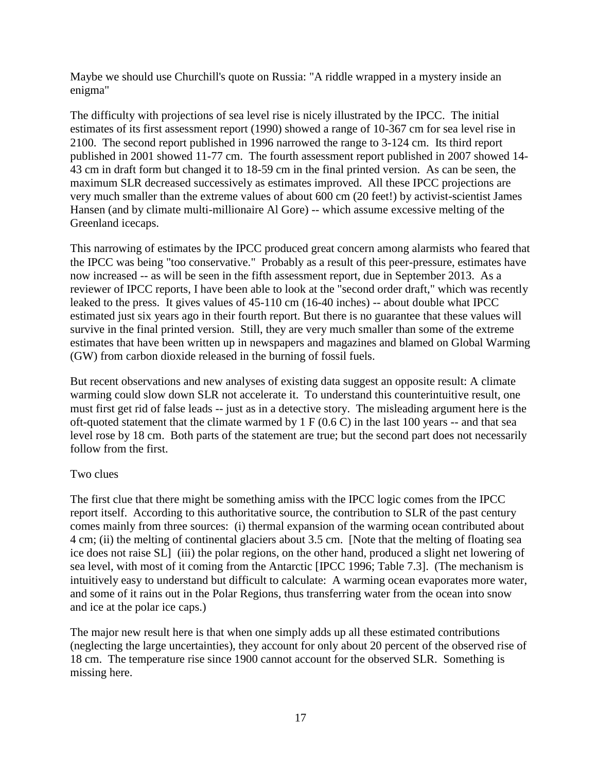Maybe we should use Churchill's quote on Russia: "A riddle wrapped in a mystery inside an enigma"

The difficulty with projections of sea level rise is nicely illustrated by the IPCC. The initial estimates of its first assessment report (1990) showed a range of 10-367 cm for sea level rise in 2100. The second report published in 1996 narrowed the range to 3-124 cm. Its third report published in 2001 showed 11-77 cm. The fourth assessment report published in 2007 showed 14- 43 cm in draft form but changed it to 18-59 cm in the final printed version. As can be seen, the maximum SLR decreased successively as estimates improved. All these IPCC projections are very much smaller than the extreme values of about 600 cm (20 feet!) by activist-scientist James Hansen (and by climate multi-millionaire Al Gore) -- which assume excessive melting of the Greenland icecaps.

This narrowing of estimates by the IPCC produced great concern among alarmists who feared that the IPCC was being "too conservative." Probably as a result of this peer-pressure, estimates have now increased -- as will be seen in the fifth assessment report, due in September 2013. As a reviewer of IPCC reports, I have been able to look at the "second order draft," which was recently leaked to the press. It gives values of 45-110 cm (16-40 inches) -- about double what IPCC estimated just six years ago in their fourth report. But there is no guarantee that these values will survive in the final printed version. Still, they are very much smaller than some of the extreme estimates that have been written up in newspapers and magazines and blamed on Global Warming (GW) from carbon dioxide released in the burning of fossil fuels.

But recent observations and new analyses of existing data suggest an opposite result: A climate warming could slow down SLR not accelerate it. To understand this counterintuitive result, one must first get rid of false leads -- just as in a detective story. The misleading argument here is the oft-quoted statement that the climate warmed by  $1 \text{ F } (0.6 \text{ C})$  in the last 100 years -- and that sea level rose by 18 cm. Both parts of the statement are true; but the second part does not necessarily follow from the first.

# Two clues

The first clue that there might be something amiss with the IPCC logic comes from the IPCC report itself. According to this authoritative source, the contribution to SLR of the past century comes mainly from three sources: (i) thermal expansion of the warming ocean contributed about 4 cm; (ii) the melting of continental glaciers about 3.5 cm. [Note that the melting of floating sea ice does not raise SL] (iii) the polar regions, on the other hand, produced a slight net lowering of sea level, with most of it coming from the Antarctic [IPCC 1996; Table 7.3]. (The mechanism is intuitively easy to understand but difficult to calculate: A warming ocean evaporates more water, and some of it rains out in the Polar Regions, thus transferring water from the ocean into snow and ice at the polar ice caps.)

The major new result here is that when one simply adds up all these estimated contributions (neglecting the large uncertainties), they account for only about 20 percent of the observed rise of 18 cm. The temperature rise since 1900 cannot account for the observed SLR. Something is missing here.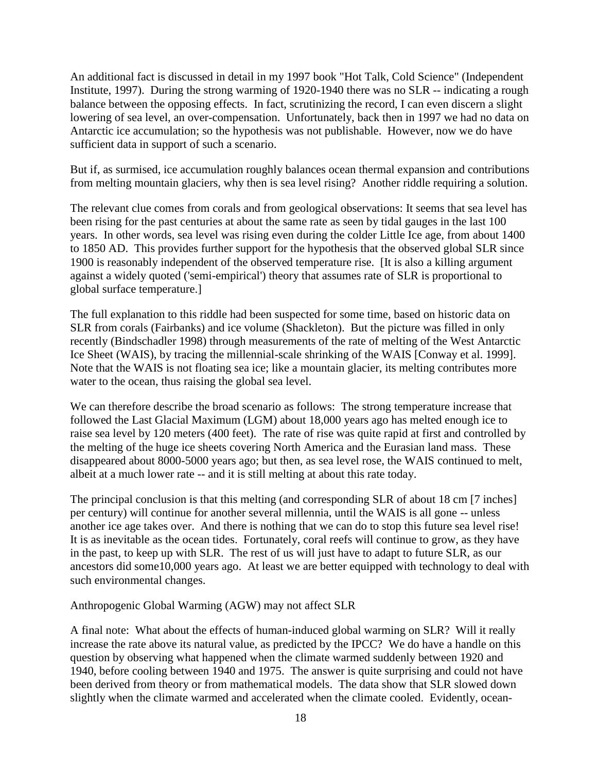An additional fact is discussed in detail in my 1997 book "Hot Talk, Cold Science" (Independent Institute, 1997). During the strong warming of 1920-1940 there was no SLR -- indicating a rough balance between the opposing effects. In fact, scrutinizing the record, I can even discern a slight lowering of sea level, an over-compensation. Unfortunately, back then in 1997 we had no data on Antarctic ice accumulation; so the hypothesis was not publishable. However, now we do have sufficient data in support of such a scenario.

But if, as surmised, ice accumulation roughly balances ocean thermal expansion and contributions from melting mountain glaciers, why then is sea level rising? Another riddle requiring a solution.

The relevant clue comes from corals and from geological observations: It seems that sea level has been rising for the past centuries at about the same rate as seen by tidal gauges in the last 100 years. In other words, sea level was rising even during the colder Little Ice age, from about 1400 to 1850 AD. This provides further support for the hypothesis that the observed global SLR since 1900 is reasonably independent of the observed temperature rise. [It is also a killing argument against a widely quoted ('semi-empirical') theory that assumes rate of SLR is proportional to global surface temperature.]

The full explanation to this riddle had been suspected for some time, based on historic data on SLR from corals (Fairbanks) and ice volume (Shackleton). But the picture was filled in only recently (Bindschadler 1998) through measurements of the rate of melting of the West Antarctic Ice Sheet (WAIS), by tracing the millennial-scale shrinking of the WAIS [Conway et al. 1999]. Note that the WAIS is not floating sea ice; like a mountain glacier, its melting contributes more water to the ocean, thus raising the global sea level.

We can therefore describe the broad scenario as follows: The strong temperature increase that followed the Last Glacial Maximum (LGM) about 18,000 years ago has melted enough ice to raise sea level by 120 meters (400 feet). The rate of rise was quite rapid at first and controlled by the melting of the huge ice sheets covering North America and the Eurasian land mass. These disappeared about 8000-5000 years ago; but then, as sea level rose, the WAIS continued to melt, albeit at a much lower rate -- and it is still melting at about this rate today.

The principal conclusion is that this melting (and corresponding SLR of about 18 cm [7 inches] per century) will continue for another several millennia, until the WAIS is all gone -- unless another ice age takes over. And there is nothing that we can do to stop this future sea level rise! It is as inevitable as the ocean tides. Fortunately, coral reefs will continue to grow, as they have in the past, to keep up with SLR. The rest of us will just have to adapt to future SLR, as our ancestors did some10,000 years ago. At least we are better equipped with technology to deal with such environmental changes.

#### Anthropogenic Global Warming (AGW) may not affect SLR

A final note: What about the effects of human-induced global warming on SLR? Will it really increase the rate above its natural value, as predicted by the IPCC? We do have a handle on this question by observing what happened when the climate warmed suddenly between 1920 and 1940, before cooling between 1940 and 1975. The answer is quite surprising and could not have been derived from theory or from mathematical models. The data show that SLR slowed down slightly when the climate warmed and accelerated when the climate cooled. Evidently, ocean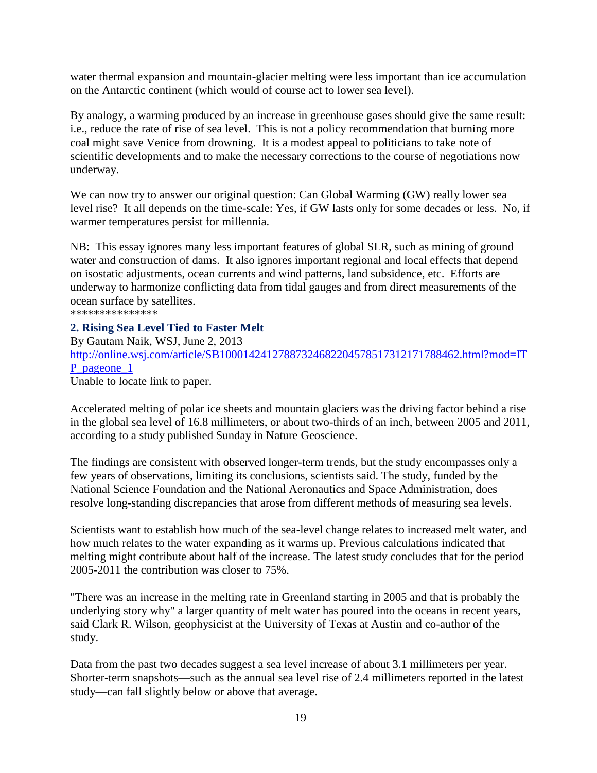water thermal expansion and mountain-glacier melting were less important than ice accumulation on the Antarctic continent (which would of course act to lower sea level).

By analogy, a warming produced by an increase in greenhouse gases should give the same result: i.e., reduce the rate of rise of sea level. This is not a policy recommendation that burning more coal might save Venice from drowning. It is a modest appeal to politicians to take note of scientific developments and to make the necessary corrections to the course of negotiations now underway.

We can now try to answer our original question: Can Global Warming (GW) really lower sea level rise? It all depends on the time-scale: Yes, if GW lasts only for some decades or less. No, if warmer temperatures persist for millennia.

NB: This essay ignores many less important features of global SLR, such as mining of ground water and construction of dams. It also ignores important regional and local effects that depend on isostatic adjustments, ocean currents and wind patterns, land subsidence, etc. Efforts are underway to harmonize conflicting data from tidal gauges and from direct measurements of the ocean surface by satellites. \*\*\*\*\*\*\*\*\*\*\*\*\*\*\*

### **2. Rising Sea Level Tied to Faster Melt**

By Gautam Naik, WSJ, June 2, 2013 [http://online.wsj.com/article/SB10001424127887324682204578517312171788462.html?mod=IT](http://online.wsj.com/article/SB10001424127887324682204578517312171788462.html?mod=ITP_pageone_1) [P\\_pageone\\_1](http://online.wsj.com/article/SB10001424127887324682204578517312171788462.html?mod=ITP_pageone_1) Unable to locate link to paper.

Accelerated melting of polar ice sheets and mountain glaciers was the driving factor behind a rise in the global sea level of 16.8 millimeters, or about two-thirds of an inch, between 2005 and 2011, according to a study published Sunday in Nature Geoscience.

The findings are consistent with observed longer-term trends, but the study encompasses only a few years of observations, limiting its conclusions, scientists said. The study, funded by the National Science Foundation and the National Aeronautics and Space Administration, does resolve long-standing discrepancies that arose from different methods of measuring sea levels.

Scientists want to establish how much of the sea-level change relates to increased melt water, and how much relates to the water expanding as it warms up. Previous calculations indicated that melting might contribute about half of the increase. The latest study concludes that for the period 2005-2011 the contribution was closer to 75%.

"There was an increase in the melting rate in Greenland starting in 2005 and that is probably the underlying story why" a larger quantity of melt water has poured into the oceans in recent years, said Clark R. Wilson, geophysicist at the University of Texas at Austin and co-author of the study.

Data from the past two decades suggest a sea level increase of about 3.1 millimeters per year. Shorter-term snapshots—such as the annual sea level rise of 2.4 millimeters reported in the latest study—can fall slightly below or above that average.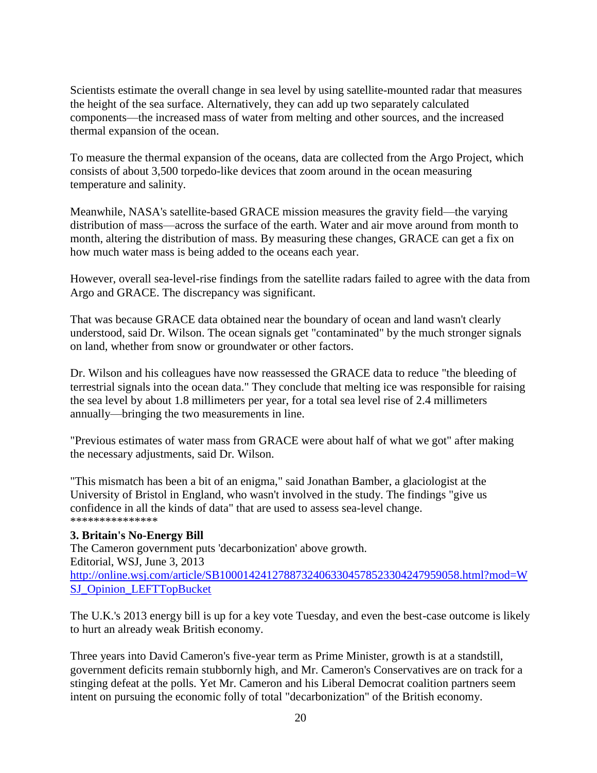Scientists estimate the overall change in sea level by using satellite-mounted radar that measures the height of the sea surface. Alternatively, they can add up two separately calculated components—the increased mass of water from melting and other sources, and the increased thermal expansion of the ocean.

To measure the thermal expansion of the oceans, data are collected from the Argo Project, which consists of about 3,500 torpedo-like devices that zoom around in the ocean measuring temperature and salinity.

Meanwhile, NASA's satellite-based GRACE mission measures the gravity field—the varying distribution of mass—across the surface of the earth. Water and air move around from month to month, altering the distribution of mass. By measuring these changes, GRACE can get a fix on how much water mass is being added to the oceans each year.

However, overall sea-level-rise findings from the satellite radars failed to agree with the data from Argo and GRACE. The discrepancy was significant.

That was because GRACE data obtained near the boundary of ocean and land wasn't clearly understood, said Dr. Wilson. The ocean signals get "contaminated" by the much stronger signals on land, whether from snow or groundwater or other factors.

Dr. Wilson and his colleagues have now reassessed the GRACE data to reduce "the bleeding of terrestrial signals into the ocean data." They conclude that melting ice was responsible for raising the sea level by about 1.8 millimeters per year, for a total sea level rise of 2.4 millimeters annually—bringing the two measurements in line.

"Previous estimates of water mass from GRACE were about half of what we got" after making the necessary adjustments, said Dr. Wilson.

"This mismatch has been a bit of an enigma," said Jonathan Bamber, a glaciologist at the University of Bristol in England, who wasn't involved in the study. The findings "give us confidence in all the kinds of data" that are used to assess sea-level change. \*\*\*\*\*\*\*\*\*\*\*\*\*\*\*

#### **3. Britain's No-Energy Bill**

The Cameron government puts 'decarbonization' above growth. Editorial, WSJ, June 3, 2013 [http://online.wsj.com/article/SB10001424127887324063304578523304247959058.html?mod=W](http://online.wsj.com/article/SB10001424127887324063304578523304247959058.html?mod=WSJ_Opinion_LEFTTopBucket) [SJ\\_Opinion\\_LEFTTopBucket](http://online.wsj.com/article/SB10001424127887324063304578523304247959058.html?mod=WSJ_Opinion_LEFTTopBucket)

The U.K.'s 2013 energy bill is up for a key vote Tuesday, and even the best-case outcome is likely to hurt an already weak British economy.

Three years into David Cameron's five-year term as Prime Minister, growth is at a standstill, government deficits remain stubbornly high, and Mr. Cameron's Conservatives are on track for a stinging defeat at the polls. Yet Mr. Cameron and his Liberal Democrat coalition partners seem intent on pursuing the economic folly of total "decarbonization" of the British economy.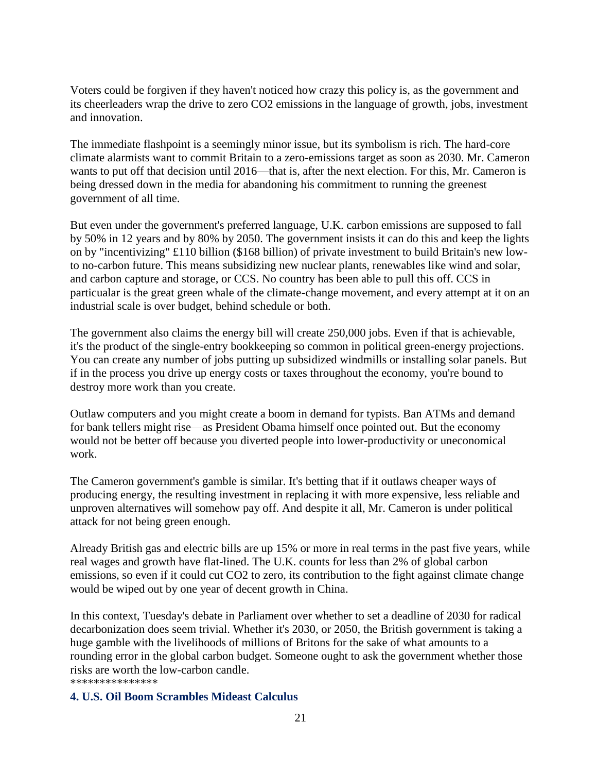Voters could be forgiven if they haven't noticed how crazy this policy is, as the government and its cheerleaders wrap the drive to zero CO2 emissions in the language of growth, jobs, investment and innovation.

The immediate flashpoint is a seemingly minor issue, but its symbolism is rich. The hard-core climate alarmists want to commit Britain to a zero-emissions target as soon as 2030. Mr. Cameron wants to put off that decision until 2016—that is, after the next election. For this, Mr. Cameron is being dressed down in the media for abandoning his commitment to running the greenest government of all time.

But even under the government's preferred language, U.K. carbon emissions are supposed to fall by 50% in 12 years and by 80% by 2050. The government insists it can do this and keep the lights on by "incentivizing" £110 billion (\$168 billion) of private investment to build Britain's new lowto no-carbon future. This means subsidizing new nuclear plants, renewables like wind and solar, and carbon capture and storage, or CCS. No country has been able to pull this off. CCS in particualar is the great green whale of the climate-change movement, and every attempt at it on an industrial scale is over budget, behind schedule or both.

The government also claims the energy bill will create 250,000 jobs. Even if that is achievable, it's the product of the single-entry bookkeeping so common in political green-energy projections. You can create any number of jobs putting up subsidized windmills or installing solar panels. But if in the process you drive up energy costs or taxes throughout the economy, you're bound to destroy more work than you create.

Outlaw computers and you might create a boom in demand for typists. Ban ATMs and demand for bank tellers might rise—as President Obama himself once pointed out. But the economy would not be better off because you diverted people into lower-productivity or uneconomical work.

The Cameron government's gamble is similar. It's betting that if it outlaws cheaper ways of producing energy, the resulting investment in replacing it with more expensive, less reliable and unproven alternatives will somehow pay off. And despite it all, Mr. Cameron is under political attack for not being green enough.

Already British gas and electric bills are up 15% or more in real terms in the past five years, while real wages and growth have flat-lined. The U.K. counts for less than 2% of global carbon emissions, so even if it could cut CO2 to zero, its contribution to the fight against climate change would be wiped out by one year of decent growth in China.

In this context, Tuesday's debate in Parliament over whether to set a deadline of 2030 for radical decarbonization does seem trivial. Whether it's 2030, or 2050, the British government is taking a huge gamble with the livelihoods of millions of Britons for the sake of what amounts to a rounding error in the global carbon budget. Someone ought to ask the government whether those risks are worth the low-carbon candle.

\*\*\*\*\*\*\*\*\*\*\*\*\*\*\*

#### **4. U.S. Oil Boom Scrambles Mideast Calculus**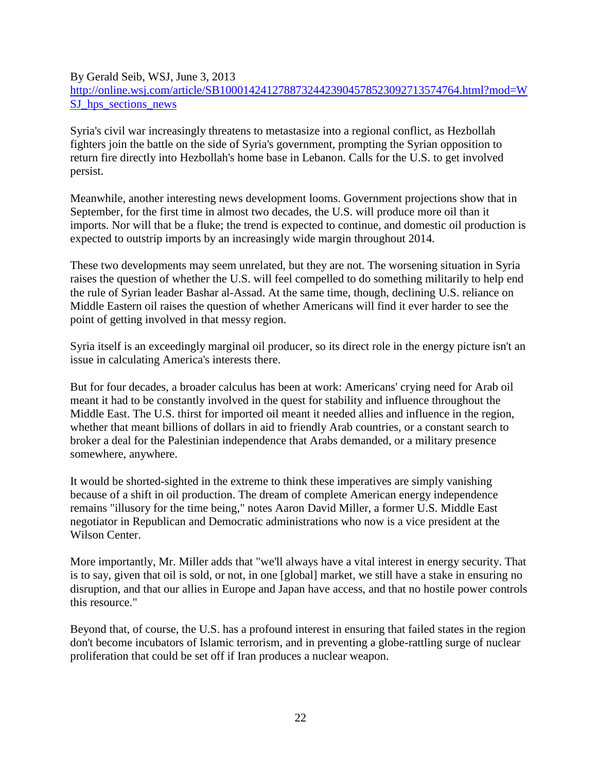### By Gerald Seib, WSJ, June 3, 2013 [http://online.wsj.com/article/SB10001424127887324423904578523092713574764.html?mod=W](http://online.wsj.com/article/SB10001424127887324423904578523092713574764.html?mod=WSJ_hps_sections_news) SJ hps sections news

Syria's civil war increasingly threatens to metastasize into a regional conflict, as Hezbollah fighters join the battle on the side of Syria's government, prompting the Syrian opposition to return fire directly into Hezbollah's home base in Lebanon. Calls for the U.S. to get involved persist.

Meanwhile, another interesting news development looms. Government projections show that in September, for the first time in almost two decades, the U.S. will produce more oil than it imports. Nor will that be a fluke; the trend is expected to continue, and domestic oil production is expected to outstrip imports by an increasingly wide margin throughout 2014.

These two developments may seem unrelated, but they are not. The worsening situation in Syria raises the question of whether the U.S. will feel compelled to do something militarily to help end the rule of Syrian leader Bashar al-Assad. At the same time, though, declining U.S. reliance on Middle Eastern oil raises the question of whether Americans will find it ever harder to see the point of getting involved in that messy region.

Syria itself is an exceedingly marginal oil producer, so its direct role in the energy picture isn't an issue in calculating America's interests there.

But for four decades, a broader calculus has been at work: Americans' crying need for Arab oil meant it had to be constantly involved in the quest for stability and influence throughout the Middle East. The U.S. thirst for imported oil meant it needed allies and influence in the region, whether that meant billions of dollars in aid to friendly Arab countries, or a constant search to broker a deal for the Palestinian independence that Arabs demanded, or a military presence somewhere, anywhere.

It would be shorted-sighted in the extreme to think these imperatives are simply vanishing because of a shift in oil production. The dream of complete American energy independence remains "illusory for the time being," notes Aaron David Miller, a former U.S. Middle East negotiator in Republican and Democratic administrations who now is a vice president at the Wilson Center.

More importantly, Mr. Miller adds that "we'll always have a vital interest in energy security. That is to say, given that oil is sold, or not, in one [global] market, we still have a stake in ensuring no disruption, and that our allies in Europe and Japan have access, and that no hostile power controls this resource."

Beyond that, of course, the U.S. has a profound interest in ensuring that failed states in the region don't become incubators of Islamic terrorism, and in preventing a globe-rattling surge of nuclear proliferation that could be set off if Iran produces a nuclear weapon.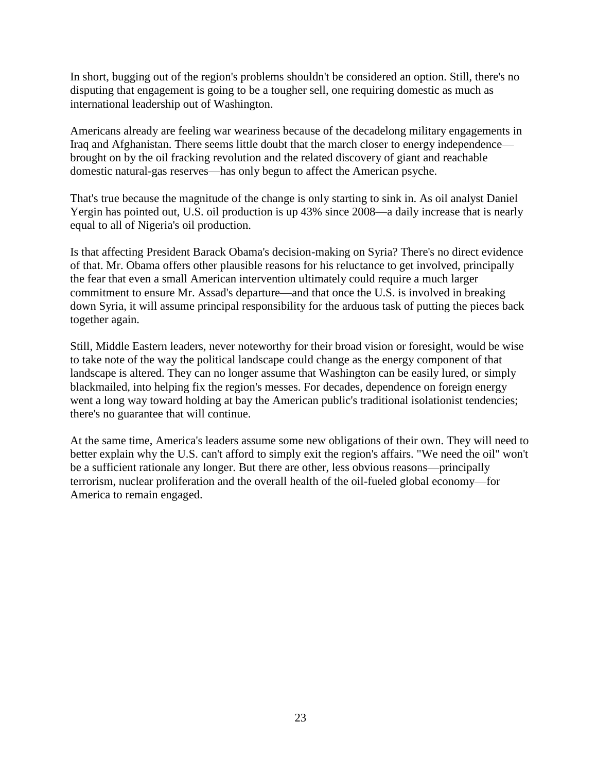In short, bugging out of the region's problems shouldn't be considered an option. Still, there's no disputing that engagement is going to be a tougher sell, one requiring domestic as much as international leadership out of Washington.

Americans already are feeling war weariness because of the decadelong military engagements in Iraq and Afghanistan. There seems little doubt that the march closer to energy independence brought on by the oil fracking revolution and the related discovery of giant and reachable domestic natural-gas reserves—has only begun to affect the American psyche.

That's true because the magnitude of the change is only starting to sink in. As oil analyst Daniel Yergin has pointed out, U.S. oil production is up 43% since 2008—a daily increase that is nearly equal to all of Nigeria's oil production.

Is that affecting President Barack Obama's decision-making on Syria? There's no direct evidence of that. Mr. Obama offers other plausible reasons for his reluctance to get involved, principally the fear that even a small American intervention ultimately could require a much larger commitment to ensure Mr. Assad's departure—and that once the U.S. is involved in breaking down Syria, it will assume principal responsibility for the arduous task of putting the pieces back together again.

Still, Middle Eastern leaders, never noteworthy for their broad vision or foresight, would be wise to take note of the way the political landscape could change as the energy component of that landscape is altered. They can no longer assume that Washington can be easily lured, or simply blackmailed, into helping fix the region's messes. For decades, dependence on foreign energy went a long way toward holding at bay the American public's traditional isolationist tendencies; there's no guarantee that will continue.

At the same time, America's leaders assume some new obligations of their own. They will need to better explain why the U.S. can't afford to simply exit the region's affairs. "We need the oil" won't be a sufficient rationale any longer. But there are other, less obvious reasons—principally terrorism, nuclear proliferation and the overall health of the oil-fueled global economy—for America to remain engaged.